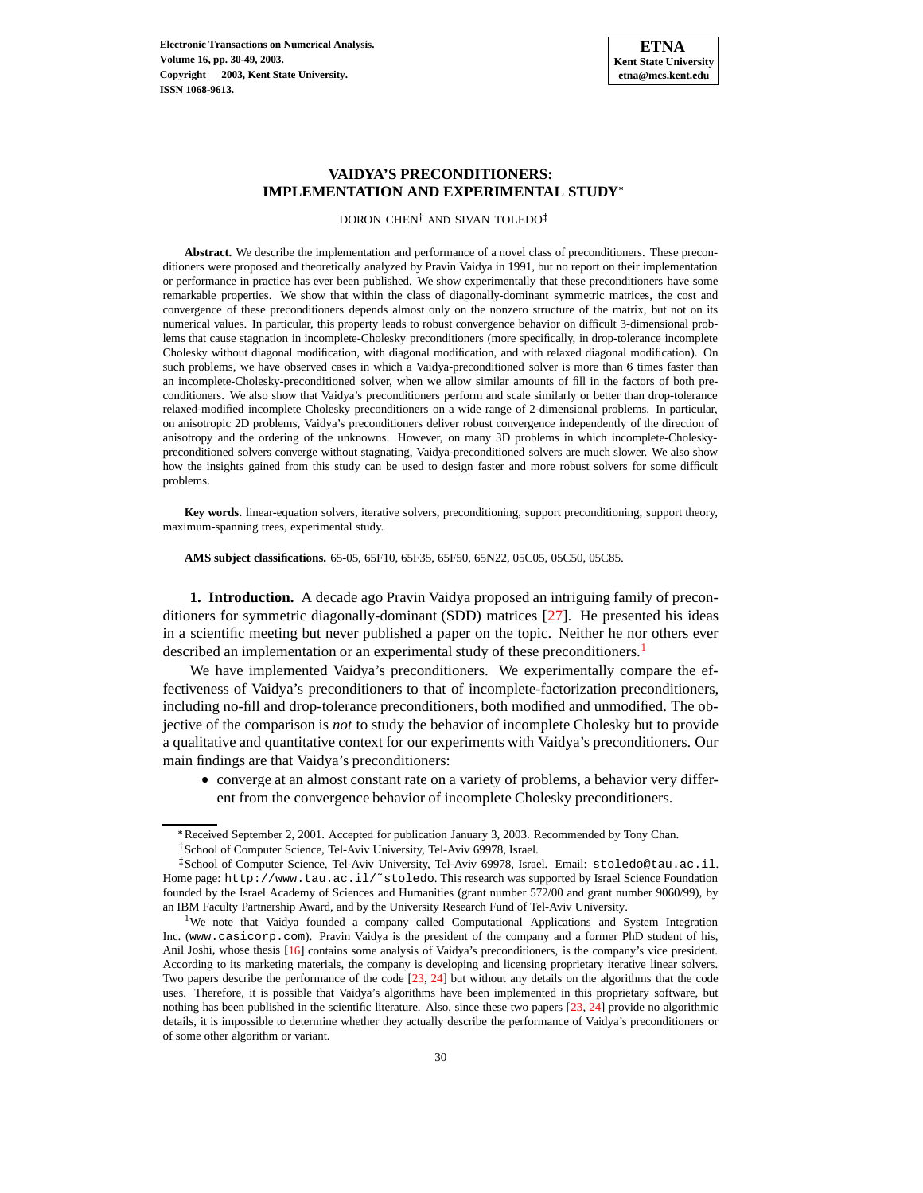**Electronic Transactions on Numerical Analysis. Volume 16, pp. 30-49, 2003. Copyright 2003, Kent State University. ISSN 1068-9613.**

# **VAIDYA'S PRECONDITIONERS: IMPLEMENTATION AND EXPERIMENTAL STUDY**

DORON CHEN<sup>†</sup> AND SIVAN TOLEDO

**Abstract.** We describe the implementation and performance of a novel class of preconditioners. These preconditioners were proposed and theoretically analyzed by Pravin Vaidya in 1991, but no report on their implementation or performance in practice has ever been published. We show experimentally that these preconditioners have some remarkable properties. We show that within the class of diagonally-dominant symmetric matrices, the cost and convergence of these preconditioners depends almost only on the nonzero structure of the matrix, but not on its numerical values. In particular, this property leads to robust convergence behavior on difficult 3-dimensional problems that cause stagnation in incomplete-Cholesky preconditioners (more specifically, in drop-tolerance incomplete Cholesky without diagonal modification, with diagonal modification, and with relaxed diagonal modification). On such problems, we have observed cases in which a Vaidya-preconditioned solver is more than 6 times faster than an incomplete-Cholesky-preconditioned solver, when we allow similar amounts of fill in the factors of both preconditioners. We also show that Vaidya's preconditioners perform and scale similarly or better than drop-tolerance relaxed-modified incomplete Cholesky preconditioners on a wide range of 2-dimensional problems. In particular, on anisotropic 2D problems, Vaidya's preconditioners deliver robust convergence independently of the direction of anisotropy and the ordering of the unknowns. However, on many 3D problems in which incomplete-Choleskypreconditioned solvers converge without stagnating, Vaidya-preconditioned solvers are much slower. We also show how the insights gained from this study can be used to design faster and more robust solvers for some difficult problems.

**Key words.** linear-equation solvers, iterative solvers, preconditioning, support preconditioning, support theory, maximum-spanning trees, experimental study.

**AMS subject classifications.** 65-05, 65F10, 65F35, 65F50, 65N22, 05C05, 05C50, 05C85.

**1. Introduction.** A decade ago Pravin Vaidya proposed an intriguing family of preconditioners for symmetric diagonally-dominant (SDD) matrices [\[27\]](#page-15-0). He presented his ideas in a scientific meeting but never published a paper on the topic. Neither he nor others ever described an implementation or an experimental study of these preconditioners.<sup>[1](#page-0-0)</sup>

We have implemented Vaidya's preconditioners. We experimentally compare the effectiveness of Vaidya's preconditioners to that of incomplete-factorization preconditioners, including no-fill and drop-tolerance preconditioners, both modified and unmodified. The objective of the comparison is *not* to study the behavior of incomplete Cholesky but to provide a qualitative and quantitative context for our experiments with Vaidya's preconditioners. Our main findings are that Vaidya's preconditioners:

 converge at an almost constant rate on a variety of problems, a behavior very different from the convergence behavior of incomplete Cholesky preconditioners.

<sup>\*</sup> Received September 2, 2001. Accepted for publication January 3, 2003. Recommended by Tony Chan.

<sup>&</sup>lt;sup>†</sup> School of Computer Science, Tel-Aviv University, Tel-Aviv 69978, Israel.

<sup>-</sup> Schoolof Computer Science, Tel-Aviv University, Tel-Aviv 69978, Israel. Email: stoledo@tau.ac.il. Home page: http://www.tau.ac.il/~stoledo. This research was supported by Israel Science Foundation founded by the Israel Academy of Sciences and Humanities (grant number 572/00 and grant number 9060/99), by an IBM Faculty Partnership Award, and by the University Research Fund of Tel-Aviv University.

<span id="page-0-0"></span><sup>&</sup>lt;sup>1</sup>We note that Vaidya founded a company called Computational Applications and System Integration Inc. (www.casicorp.com). Pravin Vaidya is the president of the company and a former PhD student of his, Anil Joshi, whose thesis [\[16\]](#page-15-1) contains some analysis of Vaidya's preconditioners, is the company's vice president. According to its marketing materials, the company is developing and licensing proprietary iterative linear solvers. Two papers describe the performance of the code [\[23,](#page-15-2) [24\]](#page-15-3) but without any details on the algorithms that the code uses. Therefore, it is possible that Vaidya's algorithms have been implemented in this proprietary software, but nothing has been published in the scientific literature. Also, since these two papers [\[23,](#page-15-2) [24\]](#page-15-3) provide no algorithmic details, it is impossible to determine whether they actually describe the performance of Vaidya's preconditioners or of some other algorithm or variant.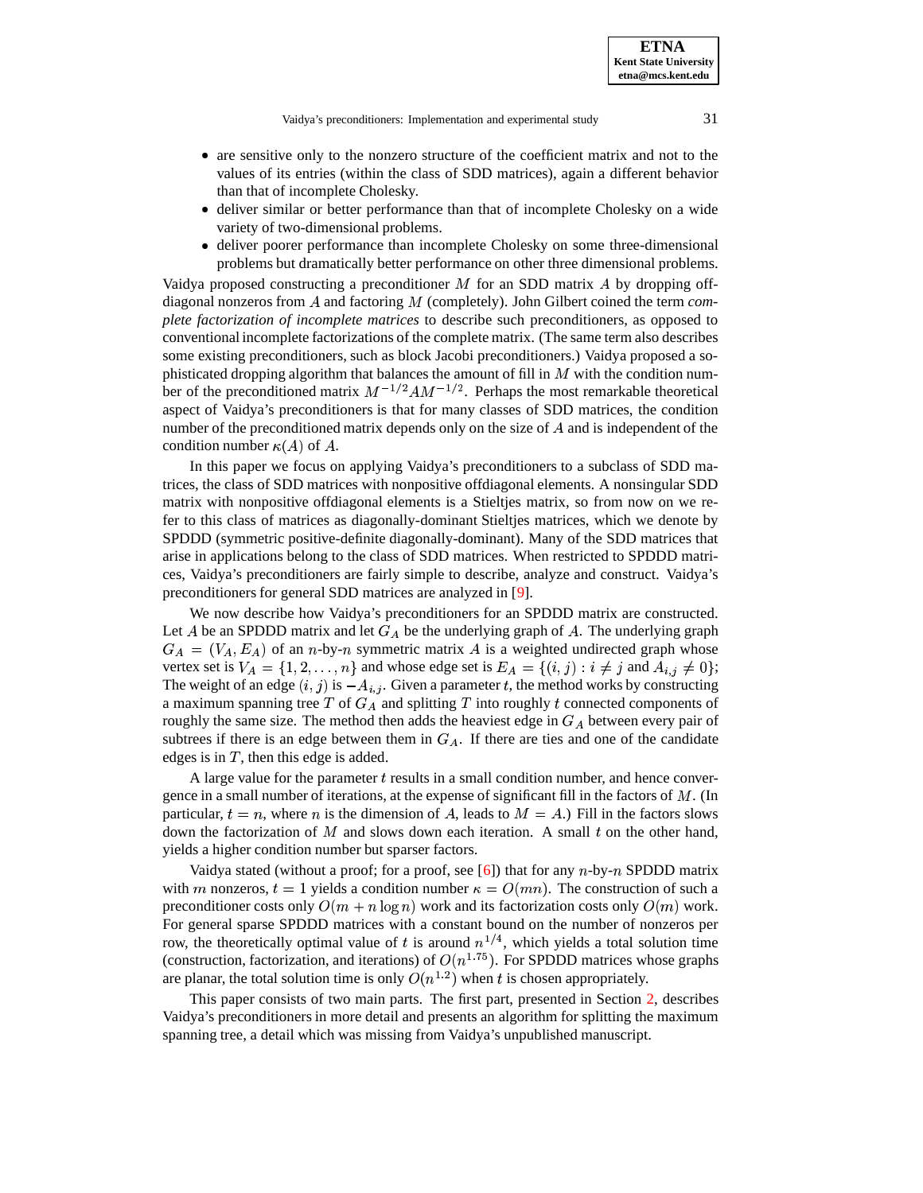Vaidya's preconditioners: Implementation and experimental study 31

- are sensitive only to the nonzero structure of the coefficient matrix and not to the values of its entries (within the class of SDD matrices), again a different behavior than that of incomplete Cholesky.
- deliver similar or better performance than that of incomplete Cholesky on a wide variety of two-dimensional problems.
- deliver poorer performance than incomplete Cholesky on some three-dimensional problems but dramatically better performance on other three dimensional problems.

Vaidya proposed constructing a preconditioner  $M$  for an SDD matrix  $\ddot{A}$  by dropping offdiagonal nonzeros from A and factoring M (completely). John Gilbert coined the term *complete factorization of incomplete matrices* to describe such preconditioners, as opposed to conventional incomplete factorizations of the complete matrix. (The same term also describes some existing preconditioners, such as block Jacobi preconditioners.) Vaidya proposed a sophisticated dropping algorithm that balances the amount of fill in  $M$  with the condition number of the preconditioned matrix  $M^{-1/2}AM^{-1/2}$ . Perhaps the most remarkable theoretical aspect of Vaidya's preconditioners is that for many classes of SDD matrices, the condition number of the preconditioned matrix depends only on the size of  $A$  and is independent of the condition number  $\kappa(A)$  of A.

In this paper we focus on applying Vaidya's preconditioners to a subclass of SDD matrices, the class of SDD matrices with nonpositive offdiagonal elements. A nonsingular SDD matrix with nonpositive offdiagonal elements is a Stieltjes matrix, so from now on we refer to this class of matrices as diagonally-dominant Stieltjes matrices, which we denote by SPDDD (symmetric positive-definite diagonally-dominant). Many of the SDD matrices that arise in applications belong to the class of SDD matrices. When restricted to SPDDD matrices, Vaidya's preconditioners are fairly simple to describe, analyze and construct. Vaidya's preconditioners for general SDD matrices are analyzed in [\[9\]](#page-14-0).

We now describe how Vaidya's preconditioners for an SPDDD matrix are constructed. Let A be an SPDDD matrix and let  $G_A$  be the underlying graph of A. The underlying graph  $G_A = (V_A, E_A)$  of an *n*-by-*n* symmetric matrix A is a weighted undirected graph whose vertex set is  $V_A = \{1, 2, ..., n\}$  and whose edge set is  $E_A = \{(i, j) : i \neq j \text{ and } A_{i,j} \neq 0\};$ The weight of an edge  $(i, j)$  is  $-A_{i,j}$ . Given a parameter t, the method works by constructing a maximum spanning tree  $T$  of  $G_A$  and splitting  $T$  into roughly  $t$  connected components of roughly the same size. The method then adds the heaviest edge in  $G_A$  between every pair of subtrees if there is an edge between them in  $G_A$ . If there are ties and one of the candidate edges is in  $T$ , then this edge is added.

A large value for the parameter  $t$  results in a small condition number, and hence convergence in a small number of iterations, at the expense of significant fill in the factors of  $M$ . (In particular,  $t = n$ , where n is the dimension of A, leads to  $M = A$ .) Fill in the factors slows down the factorization of  $M$  and slows down each iteration. A small  $t$  on the other hand, yields a higher condition number but sparser factors.

Vaidya stated (without a proof; for a proof, see [\[6\]](#page-14-1)) that for any  $n$ -by- $n$  SPDDD matrix with m nonzeros,  $t=1$  yields a condition number  $\kappa=O(mn)$ . The construction of such a preconditioner costs only  $O(m + n \log n)$  work and its factorization costs only  $O(m)$  work. For general sparse SPDDD matrices with a constant bound on the number of nonzeros per row, the theoretically optimal value of t is around  $n^{1/4}$ , which yields a total solution time (construction, factorization, and iterations) of  $O(n^{1.75})$ . For SPDDD matrices whose graphs are planar, the total solution time is only  $O(n^{1.2})$  when t is chosen appropriately.

This paper consists of two main parts. The first part, presented in Section [2,](#page-3-0) describes Vaidya's preconditioners in more detail and presents an algorithm for splitting the maximum spanning tree, a detail which was missing from Vaidya's unpublished manuscript.

**ETNA Kent State University etna@mcs.kent.edu**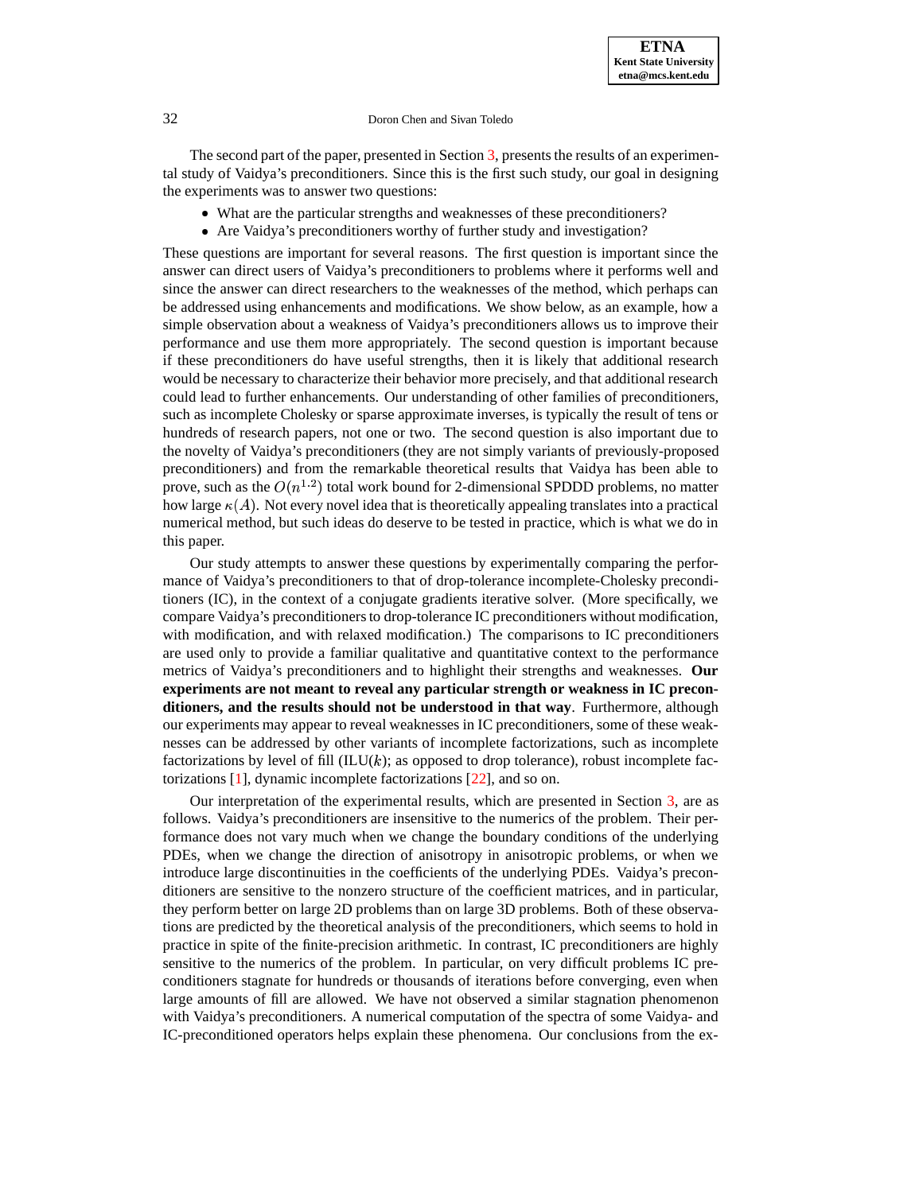The second part of the paper, presented in Section [3,](#page-5-0) presents the results of an experimental study of Vaidya's preconditioners. Since this is the first such study, our goal in designing the experiments was to answer two questions:

- What are the particular strengths and weaknesses of these preconditioners?
- Are Vaidya's preconditioners worthy of further study and investigation?

These questions are important for several reasons. The first question is important since the answer can direct users of Vaidya's preconditioners to problems where it performs well and since the answer can direct researchers to the weaknesses of the method, which perhaps can be addressed using enhancements and modifications. We show below, as an example, how a simple observation about a weakness of Vaidya's preconditioners allows us to improve their performance and use them more appropriately. The second question is important because if these preconditioners do have useful strengths, then it is likely that additional research would be necessary to characterize their behavior more precisely, and that additional research could lead to further enhancements. Our understanding of other families of preconditioners, such as incomplete Cholesky or sparse approximate inverses, is typically the result of tens or hundreds of research papers, not one or two. The second question is also important due to the novelty of Vaidya's preconditioners (they are not simply variants of previously-proposed preconditioners) and from the remarkable theoretical results that Vaidya has been able to prove, such as the  $O(n^{1.2})$  total work bound for 2-dimensional SPDDD problems, no matter how large  $\kappa(A)$ . Not every novel idea that is theoretically appealing translates into a practical numerical method, but such ideas do deserve to be tested in practice, which is what we do in this paper.

Our study attempts to answer these questions by experimentally comparing the performance of Vaidya's preconditioners to that of drop-tolerance incomplete-Cholesky preconditioners (IC), in the context of a conjugate gradients iterative solver. (More specifically, we compare Vaidya's preconditionersto drop-tolerance IC preconditioners without modification, with modification, and with relaxed modification.) The comparisons to IC preconditioners are used only to provide a familiar qualitative and quantitative context to the performance metrics of Vaidya's preconditioners and to highlight their strengths and weaknesses. **Our experiments are not meant to reveal any particular strength or weakness in IC preconditioners, and the results should not be understood in that way**. Furthermore, although our experiments may appear to reveal weaknesses in IC preconditioners, some of these weaknesses can be addressed by other variants of incomplete factorizations, such as incomplete factorizations by level of fill  $(ILU(k))$ ; as opposed to drop tolerance), robust incomplete factorizations [\[1\]](#page-14-2), dynamic incomplete factorizations [\[22\]](#page-15-4), and so on.

Our interpretation of the experimental results, which are presented in Section [3,](#page-5-0) are as follows. Vaidya's preconditioners are insensitive to the numerics of the problem. Their performance does not vary much when we change the boundary conditions of the underlying PDEs, when we change the direction of anisotropy in anisotropic problems, or when we introduce large discontinuities in the coefficients of the underlying PDEs. Vaidya's preconditioners are sensitive to the nonzero structure of the coefficient matrices, and in particular, they perform better on large 2D problems than on large 3D problems. Both of these observations are predicted by the theoretical analysis of the preconditioners, which seems to hold in practice in spite of the finite-precision arithmetic. In contrast, IC preconditioners are highly sensitive to the numerics of the problem. In particular, on very difficult problems IC preconditioners stagnate for hundreds or thousands of iterations before converging, even when large amounts of fill are allowed. We have not observed a similar stagnation phenomenon with Vaidya's preconditioners. A numerical computation of the spectra of some Vaidya- and IC-preconditioned operators helps explain these phenomena. Our conclusions from the ex-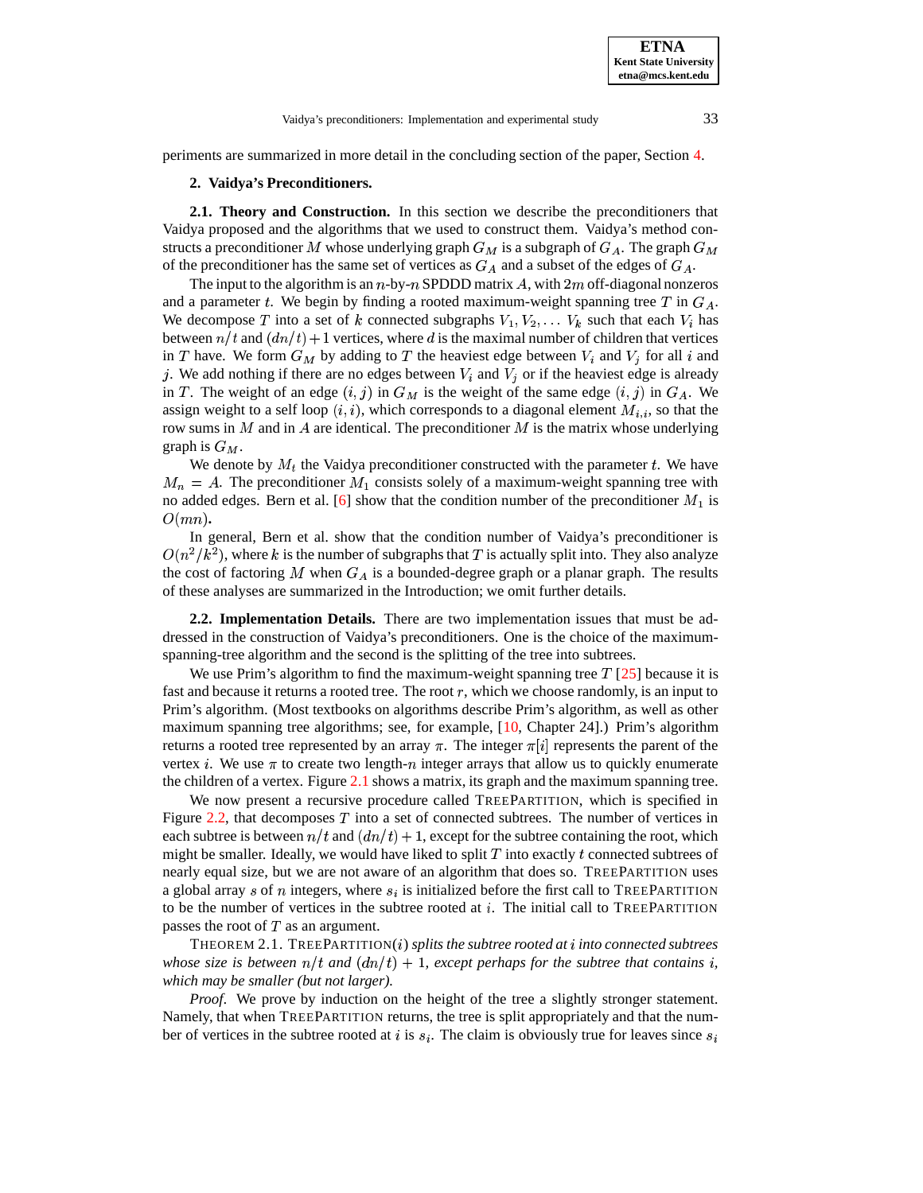<span id="page-3-0"></span>periments are summarized in more detail in the concluding section of the paper, Section [4.](#page-12-0)

# **2. Vaidya's Preconditioners.**

**2.1. Theory and Construction.** In this section we describe the preconditioners that Vaidya proposed and the algorithms that we used to construct them. Vaidya's method constructs a preconditioner M whose underlying graph  $G_M$  is a subgraph of  $G_A$ . The graph  $G_M$ of the preconditioner has the same set of vertices as  $G_A$  and a subset of the edges of  $G_A$ .

The input to the algorithm is an  $n$ -by- $n$  SPDDD matrix  $\Lambda$ , with  $2m$  off-diagonal nonzeros and a parameter t. We begin by finding a rooted maximum-weight spanning tree T in  $G_A$ . We decompose T into a set of k connected subgraphs  $V_1, V_2, \ldots V_k$  such that each  $V_i$  has between  $n/t$  and  $(dn/t) + 1$  vertices, where d is the maximal number of children that vertices in T have. We form  $G_M$  by adding to T the heaviest edge between  $V_i$  and  $V_j$  for all i and j. We add nothing if there are no edges between  $V_i$  and  $V_j$  or if the heaviest edge is already in T. The weight of an edge  $(i, j)$  in  $G_M$  is the weight of the same edge  $(i, j)$  in  $G_A$ . We assign weight to a self loop  $(i, i)$ , which corresponds to a diagonal element  $M_{i,i}$ , so that the row sums in  $M$  and in  $A$  are identical. The preconditioner  $M$  is the matrix whose underlying graph is  $G_M$ .

We denote by  $M_t$  the Vaidya preconditioner constructed with the parameter t. We have  $M_n = A$ . The preconditioner  $M_1$  consists solely of a maximum-weight spanning tree with no added edges. Bern et al. [\[6\]](#page-14-1) show that the condition number of the preconditioner  $M_1$  is  $O(mn)$ .

In general, Bern et al. show that the condition number of Vaidya's preconditioner is  $O(n^2/k^2)$ , where k is the number of subgraphs that T is actually split into. They also analyze the cost of factoring M when  $G_A$  is a bounded-degree graph or a planar graph. The results of these analyses are summarized in the Introduction; we omit further details.

**2.2. Implementation Details.** There are two implementation issues that must be addressed in the construction of Vaidya's preconditioners. One is the choice of the maximumspanning-tree algorithm and the second is the splitting of the tree into subtrees.

We use Prim's algorithm to find the maximum-weight spanning tree  $T$  [\[25\]](#page-15-5) because it is fast and because it returns a rooted tree. The root  $r$ , which we choose randomly, is an input to Prim's algorithm. (Most textbooks on algorithms describe Prim's algorithm, as well as other maximum spanning tree algorithms; see, for example, [\[10,](#page-14-3) Chapter 24].) Prim's algorithm returns a rooted tree represented by an array  $\pi$ . The integer  $\pi[i]$  represents the parent of the vertex *i*. We use  $\pi$  to create two length-*n* integer arrays that allow us to quickly enumerate the children of a vertex. Figure [2.1](#page-19-0) shows a matrix, its graph and the maximum spanning tree.

We now present a recursive procedure called TREEPARTITION, which is specified in Figure [2.2,](#page-9-0) that decomposes  $T$  into a set of connected subtrees. The number of vertices in each subtree is between  $n/t$  and  $\left(\frac{dn}{t}\right) + 1$ , except for the subtree containing the root, which might be smaller. Ideally, we would have liked to split  $T$  into exactly  $t$  connected subtrees of nearly equal size, but we are not aware of an algorithm that does so. TREEPARTITION uses a global array s of n integers, where  $s_i$  is initialized before the first call to TREEPARTITION to be the number of vertices in the subtree rooted at  $i$ . The initial call to TREEPARTITION passes the root of  $T$  as an argument.

THEOREM 2.1. TREEPARTITION( $i$ ) *splits the subtree rooted at*  $i$  *into connected subtrees whose size is between*  $n/t$  *and*  $(dn/t) + 1$ *, except perhaps for the subtree that contains i, which may be smaller (but not larger).*

*Proof.* We prove by induction on the height of the tree a slightly stronger statement. Namely, that when TREEPARTITION returns, the tree is split appropriately and that the number of vertices in the subtree rooted at  $i$  is  $s_i$ . The claim is obviously true for leaves since  $s_i$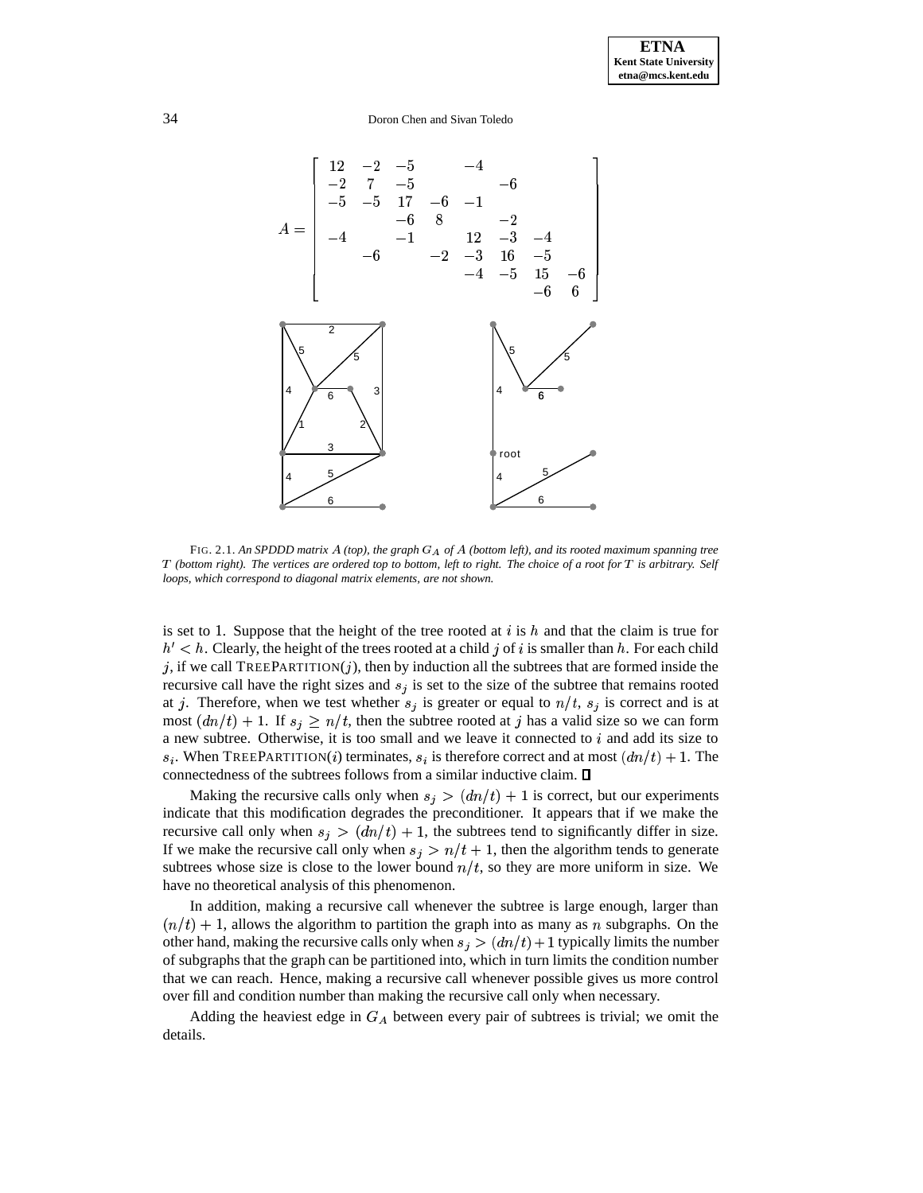

FIG. 2.1. *An SPDDD matrix (top), the graph of (bottom left), and its rooted maximum spanning tree*  $T$  (bottom right). The vertices are ordered top to bottom, left to right. The choice of a root for  $T$  is arbitrary. Self *loops, which correspond to diagonal matrix elements, are not shown.*

is set to 1. Suppose that the height of the tree rooted at  $i$  is  $h$  and that the claim is true for  $h' < h$ . Clearly, the height of the trees rooted at a child j of i is smaller than h. For each child j, if we call TREEPARTITION $(j)$ , then by induction all the subtrees that are formed inside the recursive call have the right sizes and  $s_j$  is set to the size of the subtree that remains rooted at j. Therefore, when we test whether  $s_i$  is greater or equal to  $n/t$ ,  $s_i$  is correct and is at most  $(dn/t) + 1$ . If  $s_i \geq n/t$ , then the subtree rooted at j has a valid size so we can form a new subtree. Otherwise, it is too small and we leave it connected to  $i$  and add its size to  $s_i$ . When TREEPARTITION(*i*) terminates,  $s_i$  is therefore correct and at most  $(dn/t) + 1$ . The connectedness of the subtrees follows from a similar inductive claim.

Making the recursive calls only when  $s_j > (dn/t) + 1$  is correct, but our experiments indicate that this modification degrades the preconditioner. It appears that if we make the recursive call only when  $s_i > (dn/t) + 1$ , the subtrees tend to significantly differ in size. If we make the recursive call only when  $s_i > n/t + 1$ , then the algorithm tends to generate subtrees whose size is close to the lower bound  $n/t$ , so they are more uniform in size. We have no theoretical analysis of this phenomenon.

In addition, making a recursive call whenever the subtree is large enough, larger than  $\ln(n/t) + 1$ , allows the algorithm to partition the graph into as many as n subgraphs. On the other hand, making the recursive calls only when  $s_j > (dn/t) + 1$  typically limits the number of subgraphs that the graph can be partitioned into, which in turn limits the condition number that we can reach. Hence, making a recursive call whenever possible gives us more control over fill and condition number than making the recursive call only when necessary.

Adding the heaviest edge in  $G_A$  between every pair of subtrees is trivial; we omit the details.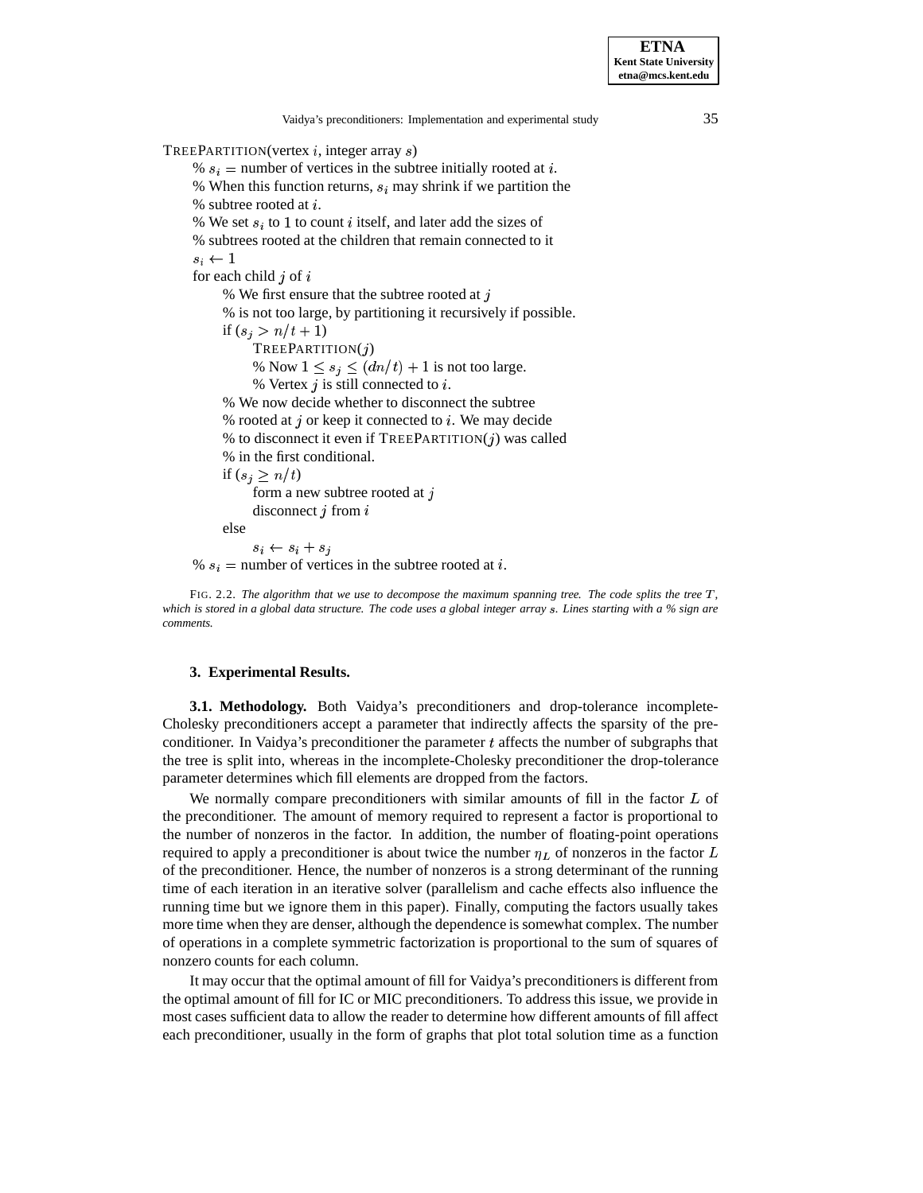TREEPARTITION(vertex  $i$ , integer array  $s$ )

Vaidya's preconditioners: Implementation and experimental study 35 %  $s_i$  = number of vertices in the subtree initially rooted at *i*. % When this function returns,  $s_i$  may shrink if we partition the  $%$  subtree rooted at  $i$ . % We set  $s_i$  to 1 to count *i* itself, and later add the sizes of % subtrees rooted at the children that remain connected to it  $s_i \leftarrow 1$ for each child  $j$  of  $i$ % We first ensure that the subtree rooted at  $\dot{\gamma}$ % is not too large, by partitioning it recursively if possible. if  $(s_i > n/t + 1)$  $T$ REEPARTITION $(j)$ % Now  $1 \leq s_i \leq (dn/t) + 1$  is not too large. % Vertex  $i$  is still connected to  $i$ . % We now decide whether to disconnect the subtree % rooted at  $j$  or keep it connected to  $i$ . We may decide % to disconnect it even if  $TREEPARTITION(j)$  was called % in the first conditional. if  $(s_i \geq n/t)$ form a new subtree rooted at  $j$ disconnect  $i$  from  $i$ else  $s_i \leftarrow s_i + s_j$ %  $s_i$  = number of vertices in the subtree rooted at i. FIG. 2.2. *The algorithm that we use to decompose the maximum spanning tree. The code splits the tree ,* which is stored in a global data structure. The code uses a global integer array s. Lines starting with a % sign are *comments.*

# **3. Experimental Results.**

<span id="page-5-0"></span>**3.1. Methodology.** Both Vaidya's preconditioners and drop-tolerance incomplete-Cholesky preconditioners accept a parameter that indirectly affects the sparsity of the preconditioner. In Vaidya's preconditioner the parameter  $t$  affects the number of subgraphs that the tree is split into, whereas in the incomplete-Cholesky preconditioner the drop-tolerance parameter determines which fill elements are dropped from the factors.

We normally compare preconditioners with similar amounts of fill in the factor  $L$  of the preconditioner. The amount of memory required to represent a factor is proportional to the number of nonzeros in the factor. In addition, the number of floating-point operations required to apply a preconditioner is about twice the number  $\eta_L$  of nonzeros in the factor L of the preconditioner. Hence, the number of nonzeros is a strong determinant of the running time of each iteration in an iterative solver (parallelism and cache effects also influence the running time but we ignore them in this paper). Finally, computing the factors usually takes more time when they are denser, although the dependence is somewhat complex. The number of operations in a complete symmetric factorization is proportional to the sum of squares of nonzero counts for each column.

It may occur that the optimal amount of fill for Vaidya's preconditionersis different from the optimal amount of fill for IC or MIC preconditioners. To address this issue, we provide in most cases sufficient data to allow the reader to determine how different amounts of fill affect each preconditioner, usually in the form of graphs that plot total solution time as a function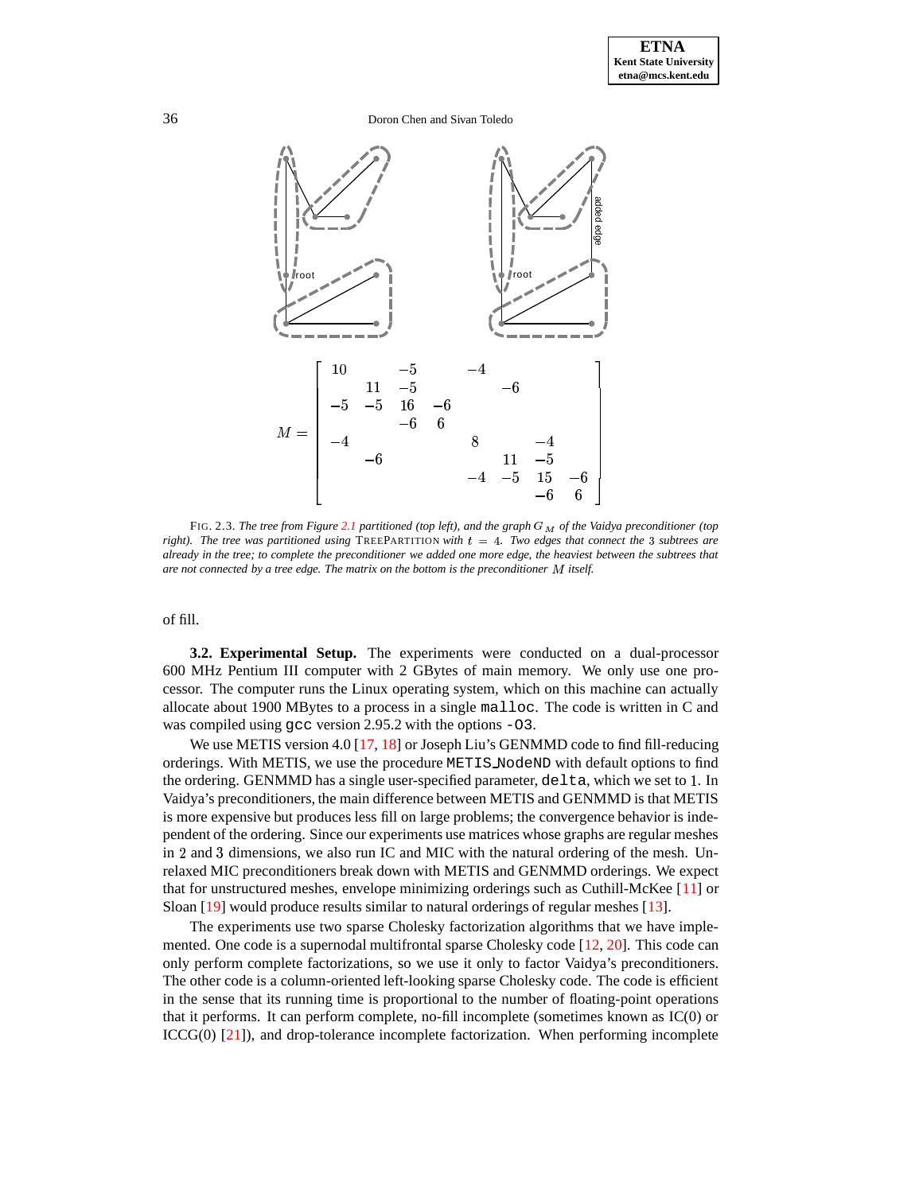

FIG. 2.3. *The tree from Figure [2.1](#page-19-0) partitioned (top left), and the graph of the Vaidya preconditioner (top right*). The tree was partitioned using TREEPARTITION with  $t = 4$ . Two edges that connect the 3 subtrees are already in the tree; to complete the preconditioner we added one more edge, the heaviest between the subtrees that *are not connected by a tree edge. The matrix on the bottom is the preconditioner itself.*

of fill.

**3.2. Experimental Setup.** The experiments were conducted on a dual-processor 600 MHz Pentium III computer with 2 GBytes of main memory. We only use one processor. The computer runs the Linux operating system, which on this machine can actually allocate about 1900 MBytes to a process in a single malloc. The code is written in C and was compiled using gcc version 2.95.2 with the options -03.

We use METIS version 4.0 [\[17,](#page-15-6) [18\]](#page-15-7) or Joseph Liu's GENMMD code to find fill-reducing orderings. With METIS, we use the procedure METIS NodeND with default options to find the ordering. GENMMD has a single user-specified parameter, delta, which we set to 1. In Vaidya's preconditioners, the main difference between METIS and GENMMD is that METIS is more expensive but produces less fill on large problems; the convergence behavior is independent of the ordering. Since our experiments use matrices whose graphs are regular meshes in  $2$  and  $3$  dimensions, we also run IC and MIC with the natural ordering of the mesh. Unrelaxed MIC preconditioners break down with METIS and GENMMD orderings. We expect that for unstructured meshes, envelope minimizing orderings such as Cuthill-McKee [\[11\]](#page-14-4) or Sloan [\[19\]](#page-15-8) would produce results similar to natural orderings of regular meshes [\[13\]](#page-15-9).

The experiments use two sparse Cholesky factorization algorithms that we have implemented. One code is a supernodal multifrontal sparse Cholesky code [\[12,](#page-14-5) [20\]](#page-15-10). This code can only perform complete factorizations, so we use it only to factor Vaidya's preconditioners. The other code is a column-oriented left-looking sparse Cholesky code. The code is efficient in the sense that its running time is proportional to the number of floating-point operations that it performs. It can perform complete, no-fill incomplete (sometimes known as IC(0) or ICCG(0) [\[21\]](#page-15-11)), and drop-tolerance incomplete factorization. When performing incomplete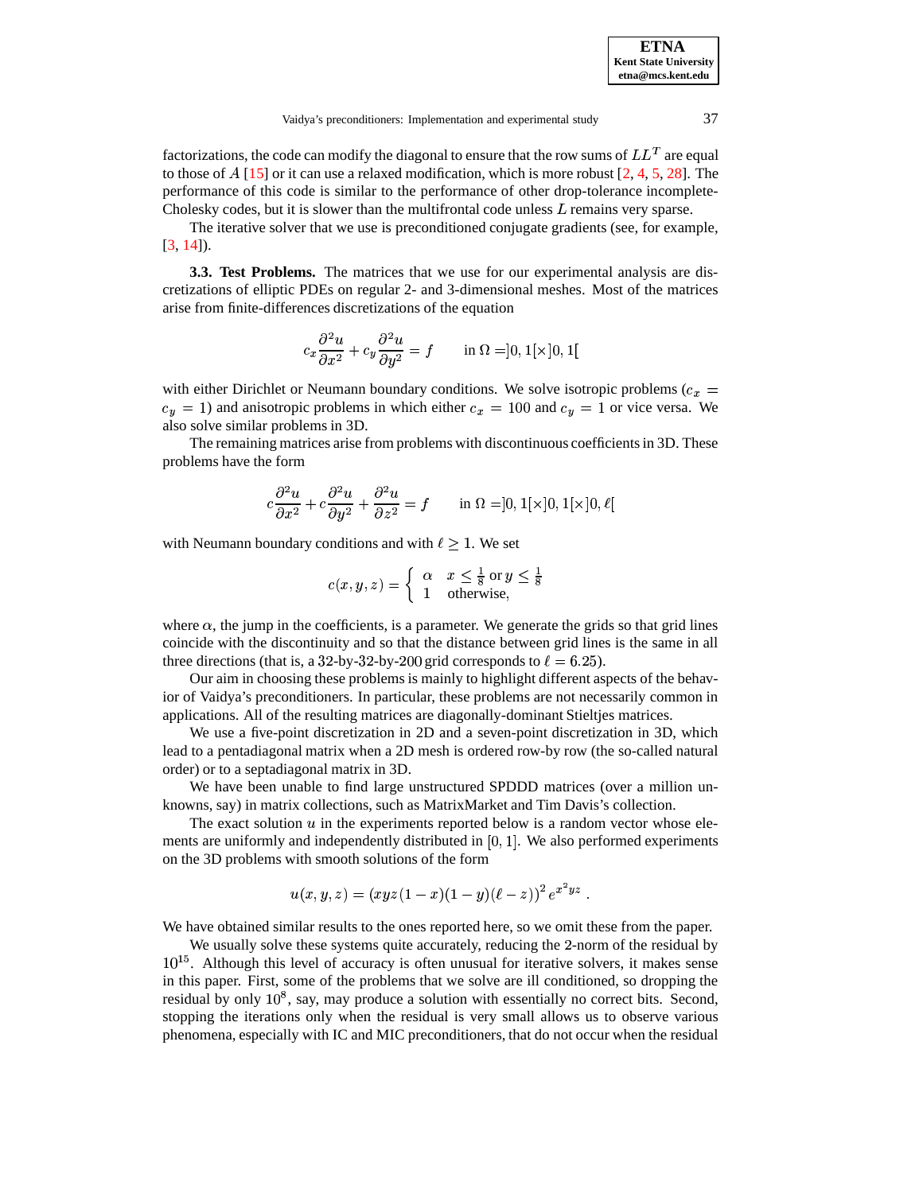factorizations, the code can modify the diagonal to ensure that the row sums of  $LL^T$  are equal to those of  $A$  [\[15\]](#page-15-12) or it can use a relaxed modification, which is more robust [\[2,](#page-14-6) [4,](#page-14-7) [5,](#page-14-8) [28\]](#page-15-13). The performance of this code is similar to the performance of other drop-tolerance incomplete-Cholesky codes, but it is slower than the multifrontal code unless  $L$  remains very sparse.

The iterative solver that we use is preconditioned conjugate gradients (see, for example, [\[3,](#page-14-9) [14\]](#page-15-14)).

**3.3. Test Problems.** The matrices that we use for our experimental analysis are discretizations of elliptic PDEs on regular 2- and 3-dimensional meshes. Most of the matrices arise from finite-differences discretizations of the equation

$$
c_x \frac{\partial^2 u}{\partial x^2} + c_y \frac{\partial^2 u}{\partial y^2} = f \quad \text{in } \Omega = ]0, 1[\times]0, 1[
$$

with either Dirichlet or Neumann boundary conditions. We solve isotropic problems ( $c_x =$  $c_y = 1$ ) and anisotropic problems in which either  $c_x = 100$  and  $c_y = 1$  or vice versa. We also solve similar problems in 3D.

The remaining matrices arise from problems with discontinuous coefficientsin 3D. These problems have the form

$$
c\frac{\partial^2 u}{\partial x^2} + c\frac{\partial^2 u}{\partial y^2} + \frac{\partial^2 u}{\partial z^2} = f \quad \text{in } \Omega = ]0,1[\times]0,1[\times]0,\ell[
$$

with Neumann boundary conditions and with  $\ell \geq 1$ . We set

$$
c(x, y, z) = \begin{cases} \alpha & x \leq \frac{1}{8} \text{ or } y \leq \frac{1}{8} \\ 1 & \text{otherwise,} \end{cases}
$$

where  $\alpha$ , the jump in the coefficients, is a parameter. We generate the grids so that grid lines coincide with the discontinuity and so that the distance between grid lines is the same in all three directions (that is, a 32-by-32-by-200 grid corresponds to  $\ell = 6.25$ ).

Our aim in choosing these problems is mainly to highlight different aspects of the behavior of Vaidya's preconditioners. In particular, these problems are not necessarily common in applications. All of the resulting matrices are diagonally-dominant Stieltjes matrices.

We use a five-point discretization in 2D and a seven-point discretization in 3D, which lead to a pentadiagonal matrix when a 2D mesh is ordered row-by row (the so-called natural order) or to a septadiagonal matrix in 3D.

We have been unable to find large unstructured SPDDD matrices (over a million unknowns, say) in matrix collections, such as MatrixMarket and Tim Davis's collection.

The exact solution  $u$  in the experiments reported below is a random vector whose elements are uniformly and independently distributed in  $[0, 1]$ . We also performed experiments on the 3D problems with smooth solutions of the form

$$
u(x,y,z) = (xyz(1-x)(1-y)(\ell-z))^2 e^{x^2yz}.
$$

We have obtained similar results to the ones reported here, so we omit these from the paper.

We usually solve these systems quite accurately, reducing the 2-norm of the residual by  $10^{15}$ . Although this level of accuracy is often unusual for iterative solvers, it makes sense in this paper. First, some of the problems that we solve are ill conditioned, so dropping the residual by only  $10^8$ , say, may produce a solution with essentially no correct bits. Second, stopping the iterations only when the residual is very small allows us to observe various phenomena, especially with IC and MIC preconditioners, that do not occur when the residual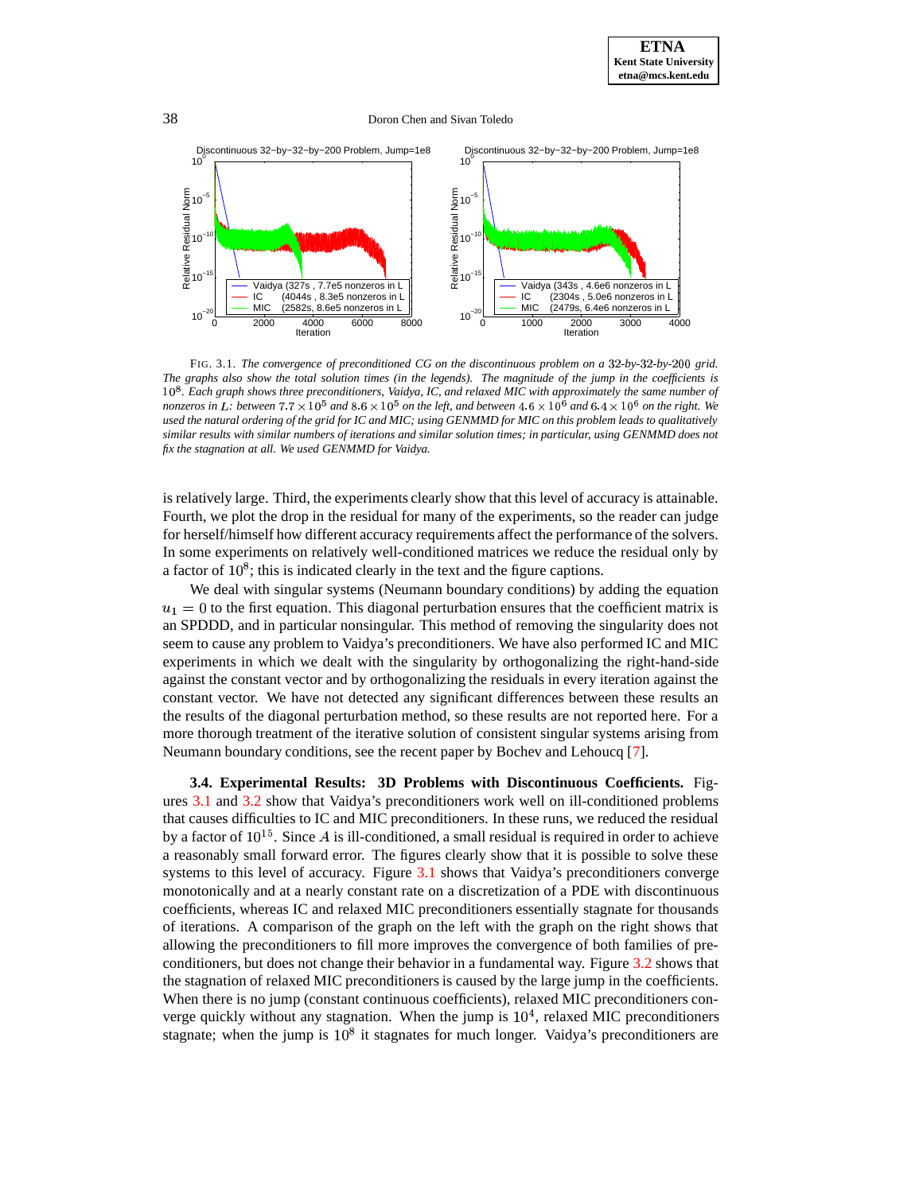

FIG. 3.1. *The convergence of preconditioned CG on the discontinuous problem on a -by--by-*-- *grid.* The graphs also show the total solution times (in the legends). The magnitude of the jump in the coefficients is 10<sup>8</sup>. Each graph shows three preconditioners, Vaidya, IC, and relaxed MIC with approximately the same number of nonzeros in L: between  $7.7\times10^5$  and  $8.6\times10^5$  on the left, and between  $4.6\times10^6$  and  $6.4\times10^6$  on the right. We used the natural ordering of the grid for IC and MIC; using GENMMD for MIC on this problem leads to qualitatively similar results with similar numbers of iterations and similar solution times; in particular, using GENMMD does not *fix the stagnation at all. We used GENMMD for Vaidya.*

is relatively large. Third, the experiments clearly show that this level of accuracy is attainable. Fourth, we plot the drop in the residual for many of the experiments, so the reader can judge for herself/himself how different accuracy requirements affect the performance of the solvers. In some experiments on relatively well-conditioned matrices we reduce the residual only by a factor of  $10^8$ ; this is indicated clearly in the text and the figure captions.

We deal with singular systems (Neumann boundary conditions) by adding the equation  $u_1 = 0$  to the first equation. This diagonal perturbation ensures that the coefficient matrix is an SPDDD, and in particular nonsingular. This method of removing the singularity does not seem to cause any problem to Vaidya's preconditioners. We have also performed IC and MIC experiments in which we dealt with the singularity by orthogonalizing the right-hand-side against the constant vector and by orthogonalizing the residuals in every iteration against the constant vector. We have not detected any significant differences between these results an the results of the diagonal perturbation method, so these results are not reported here. For a more thorough treatment of the iterative solution of consistent singular systems arising from Neumann boundary conditions, see the recent paper by Bochev and Lehoucq [\[7\]](#page-14-10).

**3.4. Experimental Results: 3D Problems with Discontinuous Coefficients.** Figures [3.1](#page-19-0) and [3.2](#page-9-0) show that Vaidya's preconditioners work well on ill-conditioned problems that causes difficulties to IC and MIC preconditioners. In these runs, we reduced the residual by a factor of  $10^{15}$ . Since A is ill-conditioned, a small residual is required in order to achieve a reasonably small forward error. The figures clearly show that it is possible to solve these systems to this level of accuracy. Figure [3.1](#page-19-0) shows that Vaidya's preconditioners converge monotonically and at a nearly constant rate on a discretization of a PDE with discontinuous coefficients, whereas IC and relaxed MIC preconditioners essentially stagnate for thousands of iterations. A comparison of the graph on the left with the graph on the right shows that allowing the preconditioners to fill more improves the convergence of both families of preconditioners, but does not change their behavior in a fundamental way. Figure [3.2](#page-9-0) shows that the stagnation of relaxed MIC preconditioners is caused by the large jump in the coefficients. When there is no jump (constant continuous coefficients), relaxed MIC preconditioners converge quickly without any stagnation. When the jump is  $10<sup>4</sup>$ , relaxed MIC preconditioners stagnate; when the jump is  $10^8$  it stagnates for much longer. Vaidya's preconditioners are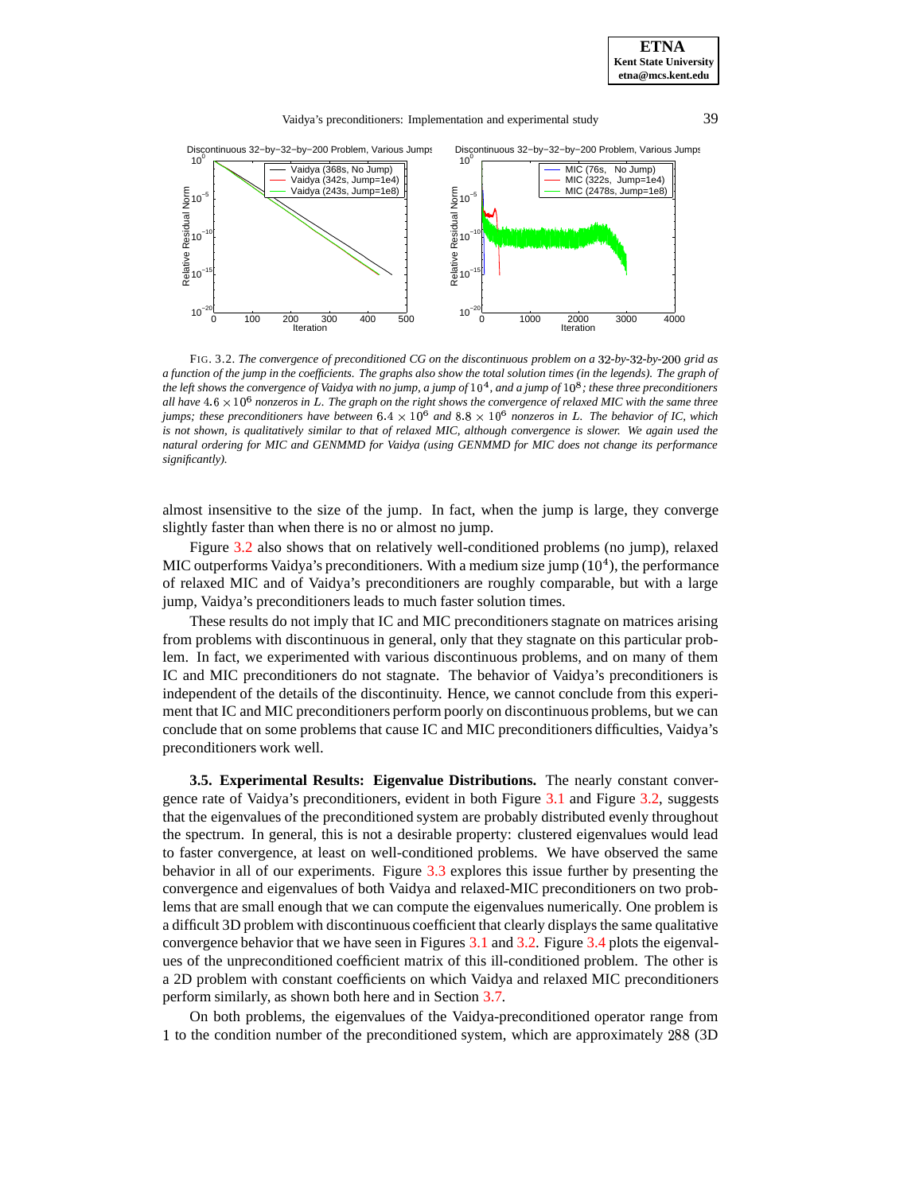

<span id="page-9-0"></span>FIG. 3.2. *The convergence of preconditioned CG on the discontinuous problem on a -by--by-*-- *grid as* a function of the jump in the coefficients. The graphs also show the total solution times (in the legends). The graph of the left shows the convergence of Vaidya with no jump, a jump of  $10^4$ , and a jump of  $10^8$ ; these three preconditioners all have  $4.6 \times 10^6$  nonzeros in L. The graph on the right shows the convergence of relaxed MIC with the same three jumps; these preconditioners have between  $6.4 \times 10^6$  and  $8.8 \times 10^6$  nonzeros in L. The behavior of IC, which is not shown, is qualitatively similar to that of relaxed MIC, although convergence is slower. We again used the *natural ordering for MIC and GENMMD for Vaidya (using GENMMD for MIC does not change its performance significantly).*

almost insensitive to the size of the jump. In fact, when the jump is large, they converge slightly faster than when there is no or almost no jump.

Figure [3.2](#page-9-0) also shows that on relatively well-conditioned problems (no jump), relaxed MIC outperforms Vaidya's preconditioners. With a medium size jump  $(10<sup>4</sup>)$ , the performance of relaxed MIC and of Vaidya's preconditioners are roughly comparable, but with a large jump, Vaidya's preconditioners leads to much faster solution times.

These results do not imply that IC and MIC preconditioners stagnate on matrices arising from problems with discontinuous in general, only that they stagnate on this particular problem. In fact, we experimented with various discontinuous problems, and on many of them IC and MIC preconditioners do not stagnate. The behavior of Vaidya's preconditioners is independent of the details of the discontinuity. Hence, we cannot conclude from this experiment that IC and MIC preconditioners perform poorly on discontinuous problems, but we can conclude that on some problems that cause IC and MIC preconditioners difficulties, Vaidya's preconditioners work well.

**3.5. Experimental Results: Eigenvalue Distributions.** The nearly constant convergence rate of Vaidya's preconditioners, evident in both Figure [3.1](#page-19-0) and Figure [3.2,](#page-9-0) suggests that the eigenvalues of the preconditioned system are probably distributed evenly throughout the spectrum. In general, this is not a desirable property: clustered eigenvalues would lead to faster convergence, at least on well-conditioned problems. We have observed the same behavior in all of our experiments. Figure [3.3](#page-16-0) explores this issue further by presenting the convergence and eigenvalues of both Vaidya and relaxed-MIC preconditioners on two problems that are small enough that we can compute the eigenvalues numerically. One problem is a difficult 3D problem with discontinuous coefficient that clearly displays the same qualitative convergence behavior that we have seen in Figures [3.1](#page-19-0) and [3.2.](#page-9-0) Figure [3.4](#page-17-0) plots the eigenvalues of the unpreconditioned coefficient matrix of this ill-conditioned problem. The other is a 2D problem with constant coefficients on which Vaidya and relaxed MIC preconditioners perform similarly, as shown both here and in Section [3.7.](#page-17-1)

On both problems, the eigenvalues of the Vaidya-preconditioned operator range from 1 to the condition number of the preconditioned system, which are approximately 288 (3D)

**ETNA Kent State University etna@mcs.kent.edu**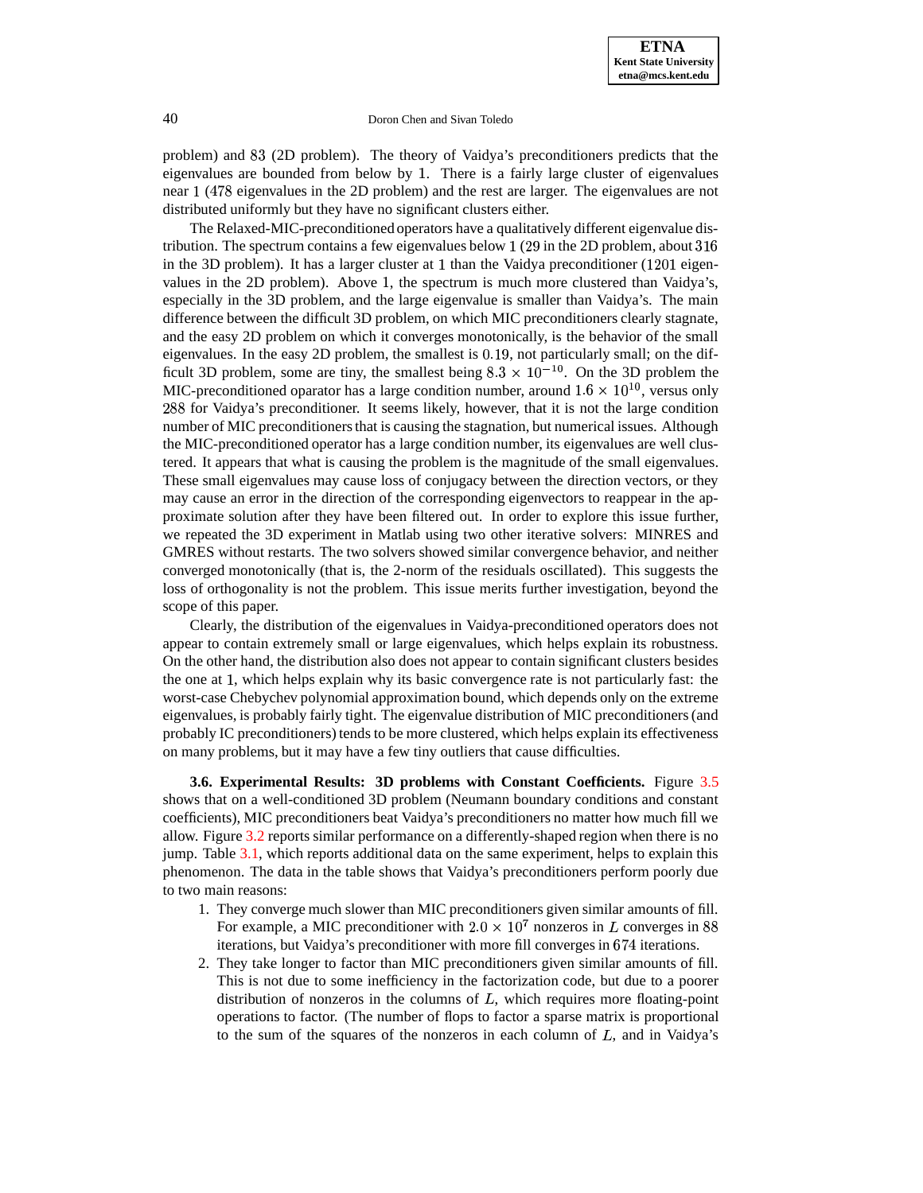problem) and 83 (2D problem). The theory of Vaidya's preconditioners predicts that the eigenvalues are bounded from below by 1. There is a fairly large cluster of eigenvalues near 1 (478 eigenvalues in the 2D problem) and the rest are larger. The eigenvalues are not distributed uniformly but they have no significant clusters either.

The Relaxed-MIC-preconditioned operators have a qualitatively different eigenvalue distribution. The spectrum contains a few eigenvalues below  $1(29)$  in the 2D problem, about  $316$ in the 3D problem). It has a larger cluster at 1 than the Vaidya preconditioner ( $1201$  eigenvalues in the 2D problem). Above 1, the spectrum is much more clustered than Vaidya's, especially in the 3D problem, and the large eigenvalue is smaller than Vaidya's. The main difference between the difficult 3D problem, on which MIC preconditioners clearly stagnate, and the easy 2D problem on which it converges monotonically, is the behavior of the small eigenvalues. In the easy 2D problem, the smallest is 0.19, not particularly small; on the difficult 3D problem, some are tiny, the smallest being  $8.3 \times 10^{-10}$ . On the 3D problem the MIC-preconditioned oparator has a large condition number, around  $1.6 \times 10^{10}$ , versus only 288 for Vaidya's preconditioner. It seems likely, however, that it is not the large condition number of MIC preconditionersthat is causing the stagnation, but numerical issues. Although the MIC-preconditioned operator has a large condition number, its eigenvalues are well clustered. It appears that what is causing the problem is the magnitude of the small eigenvalues. These small eigenvalues may cause loss of conjugacy between the direction vectors, or they may cause an error in the direction of the corresponding eigenvectors to reappear in the approximate solution after they have been filtered out. In order to explore this issue further, we repeated the 3D experiment in Matlab using two other iterative solvers: MINRES and GMRES without restarts. The two solvers showed similar convergence behavior, and neither converged monotonically (that is, the 2-norm of the residuals oscillated). This suggests the loss of orthogonality is not the problem. This issue merits further investigation, beyond the scope of this paper.

Clearly, the distribution of the eigenvalues in Vaidya-preconditioned operators does not appear to contain extremely small or large eigenvalues, which helps explain its robustness. On the other hand, the distribution also does not appear to contain significant clusters besides the one at 1, which helps explain why its basic convergence rate is not particularly fast: the worst-case Chebychev polynomial approximation bound, which depends only on the extreme eigenvalues, is probably fairly tight. The eigenvalue distribution of MIC preconditioners(and probably IC preconditioners) tends to be more clustered, which helps explain its effectiveness on many problems, but it may have a few tiny outliers that cause difficulties.

**3.6. Experimental Results: 3D problems with Constant Coefficients.** Figure [3.5](#page-17-2) shows that on a well-conditioned 3D problem (Neumann boundary conditions and constant coefficients), MIC preconditioners beat Vaidya's preconditioners no matter how much fill we allow. Figure [3.2](#page-9-0) reports similar performance on a differently-shaped region when there is no jump. Table [3.1,](#page-11-0) which reports additional data on the same experiment, helps to explain this phenomenon. The data in the table shows that Vaidya's preconditioners perform poorly due to two main reasons:

- 1. They converge much slower than MIC preconditioners given similar amounts of fill. For example, a MIC preconditioner with  $2.0 \times 10^7$  nonzeros in *L* converges in 88 iterations, but Vaidya's preconditioner with more fill converges in 674 iterations.
- 2. They take longer to factor than MIC preconditioners given similar amounts of fill. This is not due to some inefficiency in the factorization code, but due to a poorer distribution of nonzeros in the columns of  $L$ , which requires more floating-point operations to factor. (The number of flops to factor a sparse matrix is proportional to the sum of the squares of the nonzeros in each column of  $L$ , and in Vaidya's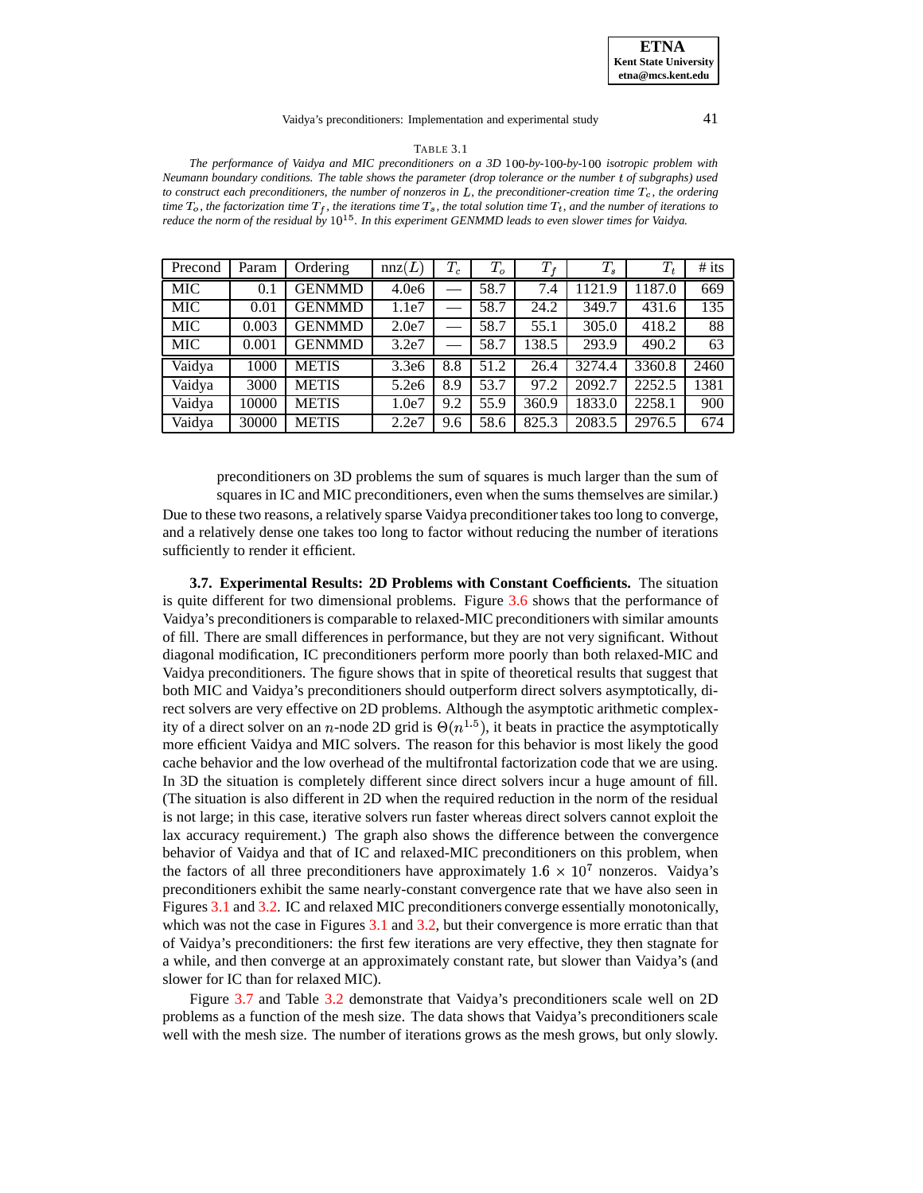#### Vaidya's preconditioners: Implementation and experimental study 41

#### TABLE 3.1

<span id="page-11-0"></span>*The performance* of *Vaidya* and *MIC* preconditioners on a 3D 100-by-100-by-100 isotropic problem with *Neumann boundary conditions. The table shows the parameter (drop tolerance or the number* - *of subgraphs) used to* construct each preconditioners, the number of nonzeros in  $L$ , the preconditioner-creation time  $T_c$ , the ordering time  $T_o$ , the factorization time  $T_f$ , the iterations time  $T_s$ , the total solution time  $T_t$ , and the number of iterations to reduce the norm of the residual by  $10^{15}$ . In this experiment GENMMD leads to even slower times for Vaidya.

| Precond    | Param | Ordering      | nnz(L) | $T_c$ | $T_o$ | $T_f$ | $T_s\,$ | $T_t$  | $#$ its |
|------------|-------|---------------|--------|-------|-------|-------|---------|--------|---------|
| <b>MIC</b> | 0.1   | <b>GENMMD</b> | 4.0e6  |       | 58.7  | 7.4   | 1121.9  | 1187.0 | 669     |
| <b>MIC</b> | 0.01  | <b>GENMMD</b> | 1.1e7  |       | 58.7  | 24.2  | 349.7   | 431.6  | 135     |
| <b>MIC</b> | 0.003 | <b>GENMMD</b> | 2.0e7  |       | 58.7  | 55.1  | 305.0   | 418.2  | 88      |
| <b>MIC</b> | 0.001 | <b>GENMMD</b> | 3.2e7  |       | 58.7  | 138.5 | 293.9   | 490.2  | 63      |
| Vaidya     | 1000  | <b>METIS</b>  | 3.3e6  | 8.8   | 51.2  | 26.4  | 3274.4  | 3360.8 | 2460    |
| Vaidya     | 3000  | <b>METIS</b>  | 5.2e6  | 8.9   | 53.7  | 97.2  | 2092.7  | 2252.5 | 1381    |
| Vaidya     | 10000 | <b>METIS</b>  | 1.0e7  | 9.2   | 55.9  | 360.9 | 1833.0  | 2258.1 | 900     |
| Vaidya     | 30000 | <b>METIS</b>  | 2.2e7  | 9.6   | 58.6  | 825.3 | 2083.5  | 2976.5 | 674     |

preconditioners on 3D problems the sum of squares is much larger than the sum of squares in IC and MIC preconditioners, even when the sums themselves are similar.) Due to these two reasons, a relatively sparse Vaidya preconditionertakes too long to converge, and a relatively dense one takes too long to factor without reducing the number of iterations sufficiently to render it efficient.

**3.7. Experimental Results: 2D Problems with Constant Coefficients.** The situation is quite different for two dimensional problems. Figure [3.6](#page-17-1) shows that the performance of Vaidya's preconditionersis comparable to relaxed-MIC preconditioners with similar amounts of fill. There are small differences in performance, but they are not very significant. Without diagonal modification, IC preconditioners perform more poorly than both relaxed-MIC and Vaidya preconditioners. The figure shows that in spite of theoretical results that suggest that both MIC and Vaidya's preconditioners should outperform direct solvers asymptotically, direct solvers are very effective on 2D problems. Although the asymptotic arithmetic complexity of a direct solver on an n-node 2D grid is  $\Theta(n^{1.5})$ , it beats in practice the asymptotically more efficient Vaidya and MIC solvers. The reason for this behavior is most likely the good cache behavior and the low overhead of the multifrontal factorization code that we are using. In 3D the situation is completely different since direct solvers incur a huge amount of fill. (The situation is also different in 2D when the required reduction in the norm of the residual is not large; in this case, iterative solvers run faster whereas direct solvers cannot exploit the lax accuracy requirement.) The graph also shows the difference between the convergence behavior of Vaidya and that of IC and relaxed-MIC preconditioners on this problem, when the factors of all three preconditioners have approximately  $1.6 \times 10^7$  nonzeros. Vaidya's preconditioners exhibit the same nearly-constant convergence rate that we have also seen in Figures [3.1](#page-19-0) and [3.2.](#page-9-0) IC and relaxed MIC preconditioners converge essentially monotonically, which was not the case in Figures [3.1](#page-19-0) and [3.2,](#page-9-0) but their convergence is more erratic than that of Vaidya's preconditioners: the first few iterations are very effective, they then stagnate for a while, and then converge at an approximately constant rate, but slower than Vaidya's (and slower for IC than for relaxed MIC).

Figure [3.7](#page-18-0) and Table [3.2](#page-12-1) demonstrate that Vaidya's preconditioners scale well on 2D problems as a function of the mesh size. The data shows that Vaidya's preconditioners scale well with the mesh size. The number of iterations grows as the mesh grows, but only slowly.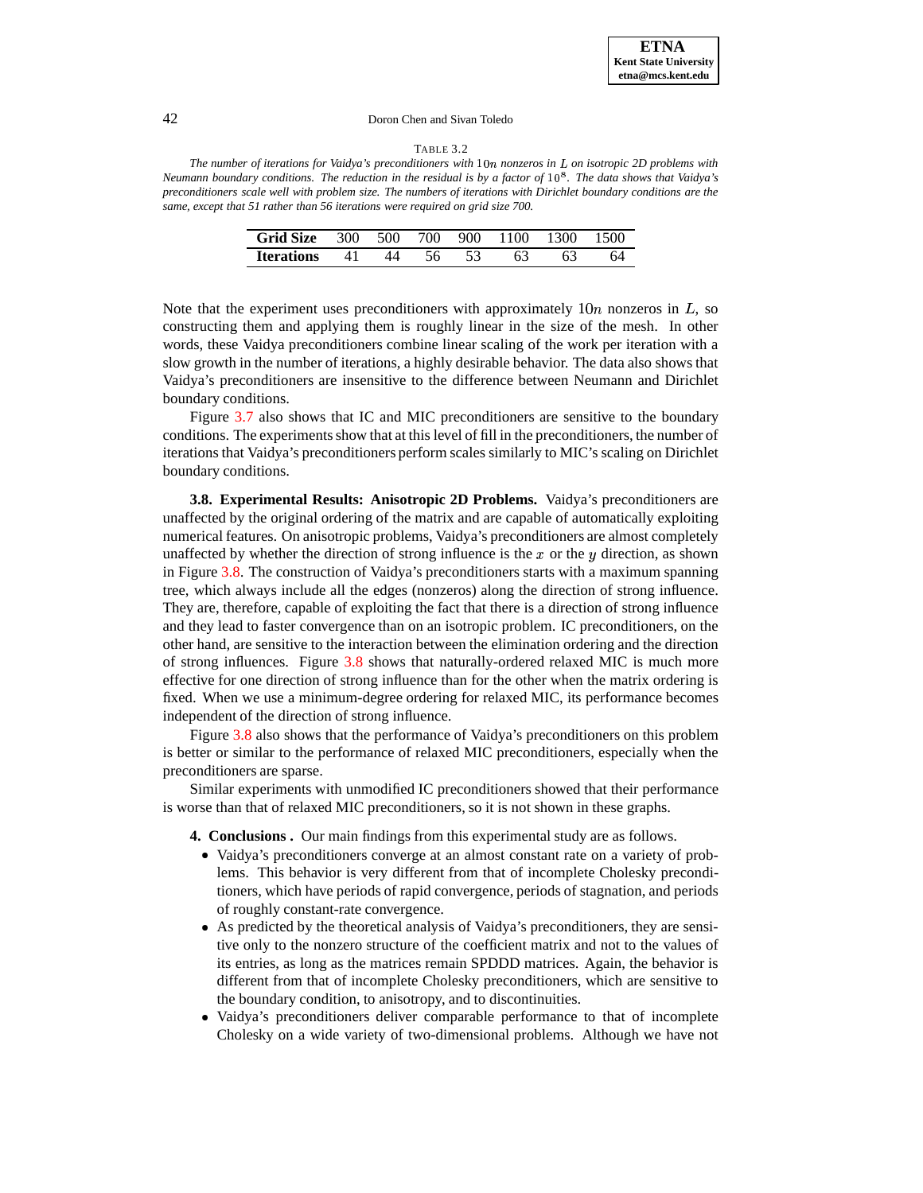#### TABLE 3.2

<span id="page-12-1"></span>*The number of iterations for Vaidya's preconditioners with* - *nonzeros in on isotropic 2D problems with* Neumann boundary conditions. The reduction in the residual is by a factor of 10<sup>8</sup>. The data shows that Vaidya's preconditioners scale well with problem size. The numbers of iterations with Dirichlet boundary conditions are the *same, except that 51 rather than 56 iterations were required on grid size 700.*

| Grid Size 300 500 700 900 1100 1300 1500 |    |    |  |  |  |
|------------------------------------------|----|----|--|--|--|
| <b>Iterations</b>                        | 41 | ΔΔ |  |  |  |

Note that the experiment uses preconditioners with approximately  $10n$  nonzeros in L, so constructing them and applying them is roughly linear in the size of the mesh. In other words, these Vaidya preconditioners combine linear scaling of the work per iteration with a slow growth in the number of iterations, a highly desirable behavior. The data also shows that Vaidya's preconditioners are insensitive to the difference between Neumann and Dirichlet boundary conditions.

Figure [3.7](#page-18-0) also shows that IC and MIC preconditioners are sensitive to the boundary conditions. The experiments show that at this level of fill in the preconditioners, the number of iterations that Vaidya's preconditioners perform scales similarly to MIC's scaling on Dirichlet boundary conditions.

**3.8. Experimental Results: Anisotropic 2D Problems.** Vaidya's preconditioners are unaffected by the original ordering of the matrix and are capable of automatically exploiting numerical features. On anisotropic problems, Vaidya's preconditioners are almost completely unaffected by whether the direction of strong influence is the  $x$  or the  $y$  direction, as shown in Figure [3.8.](#page-18-1) The construction of Vaidya's preconditioners starts with a maximum spanning tree, which always include all the edges (nonzeros) along the direction of strong influence. They are, therefore, capable of exploiting the fact that there is a direction of strong influence and they lead to faster convergence than on an isotropic problem. IC preconditioners, on the other hand, are sensitive to the interaction between the elimination ordering and the direction of strong influences. Figure [3.8](#page-18-1) shows that naturally-ordered relaxed MIC is much more effective for one direction of strong influence than for the other when the matrix ordering is fixed. When we use a minimum-degree ordering for relaxed MIC, its performance becomes independent of the direction of strong influence.

Figure [3.8](#page-18-1) also shows that the performance of Vaidya's preconditioners on this problem is better or similar to the performance of relaxed MIC preconditioners, especially when the preconditioners are sparse.

<span id="page-12-0"></span>Similar experiments with unmodified IC preconditioners showed that their performance is worse than that of relaxed MIC preconditioners, so it is not shown in these graphs.

**4. Conclusions .** Our main findings from this experimental study are as follows.

- Vaidya's preconditioners converge at an almost constant rate on a variety of problems. This behavior is very different from that of incomplete Cholesky preconditioners, which have periods of rapid convergence, periods of stagnation, and periods of roughly constant-rate convergence.
- As predicted by the theoretical analysis of Vaidya's preconditioners, they are sensitive only to the nonzero structure of the coefficient matrix and not to the values of its entries, as long as the matrices remain SPDDD matrices. Again, the behavior is different from that of incomplete Cholesky preconditioners, which are sensitive to the boundary condition, to anisotropy, and to discontinuities.
- Vaidya's preconditioners deliver comparable performance to that of incomplete Cholesky on a wide variety of two-dimensional problems. Although we have not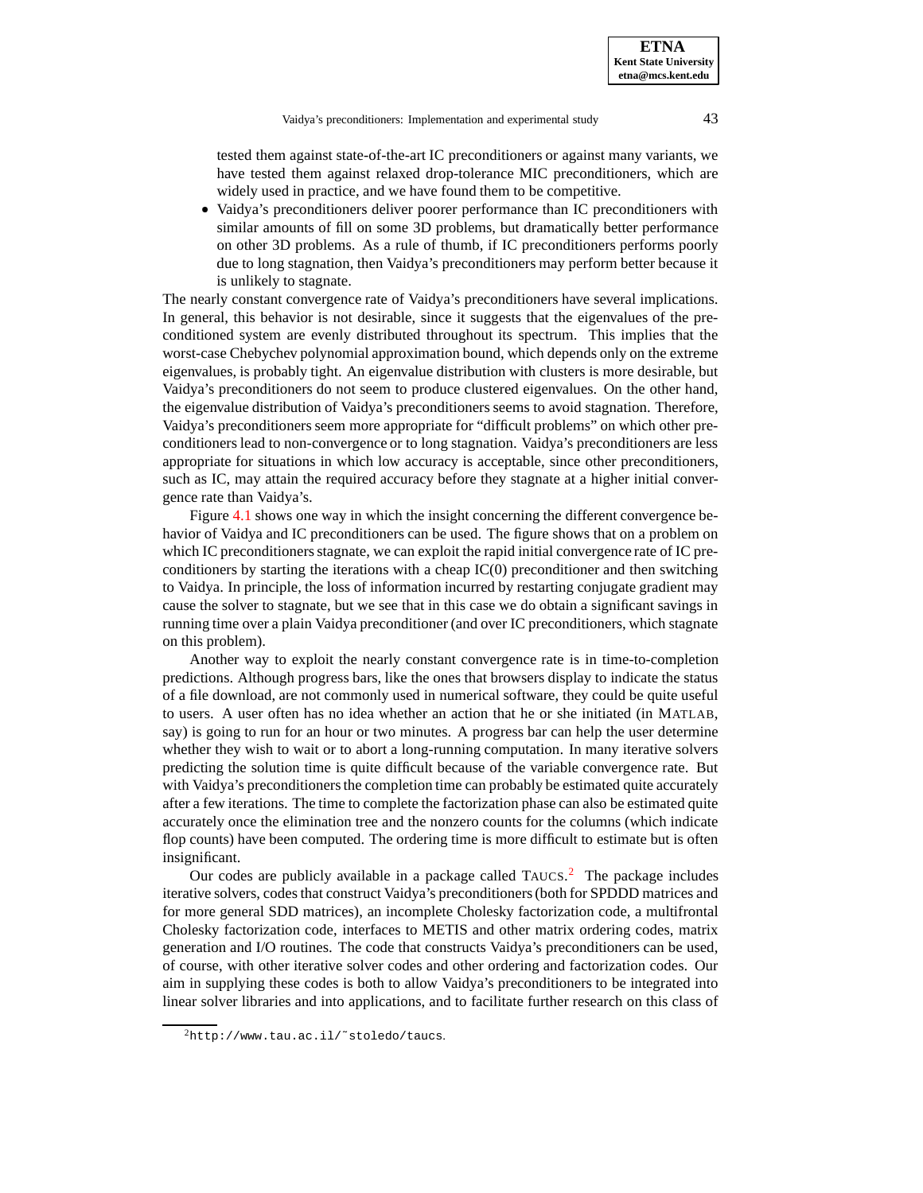tested them against state-of-the-art IC preconditioners or against many variants, we have tested them against relaxed drop-tolerance MIC preconditioners, which are widely used in practice, and we have found them to be competitive.

 Vaidya's preconditioners deliver poorer performance than IC preconditioners with similar amounts of fill on some 3D problems, but dramatically better performance on other 3D problems. As a rule of thumb, if IC preconditioners performs poorly due to long stagnation, then Vaidya's preconditioners may perform better because it is unlikely to stagnate.

The nearly constant convergence rate of Vaidya's preconditioners have several implications. In general, this behavior is not desirable, since it suggests that the eigenvalues of the preconditioned system are evenly distributed throughout its spectrum. This implies that the worst-case Chebychev polynomial approximation bound, which depends only on the extreme eigenvalues, is probably tight. An eigenvalue distribution with clusters is more desirable, but Vaidya's preconditioners do not seem to produce clustered eigenvalues. On the other hand, the eigenvalue distribution of Vaidya's preconditioners seems to avoid stagnation. Therefore, Vaidya's preconditioners seem more appropriate for "difficult problems" on which other preconditioners lead to non-convergence or to long stagnation. Vaidya's preconditioners are less appropriate for situations in which low accuracy is acceptable, since other preconditioners, such as IC, may attain the required accuracy before they stagnate at a higher initial convergence rate than Vaidya's.

Figure [4.1](#page-19-0) shows one way in which the insight concerning the different convergence behavior of Vaidya and IC preconditioners can be used. The figure shows that on a problem on which IC preconditioners stagnate, we can exploit the rapid initial convergence rate of IC preconditioners by starting the iterations with a cheap  $IC(0)$  preconditioner and then switching to Vaidya. In principle, the loss of information incurred by restarting conjugate gradient may cause the solver to stagnate, but we see that in this case we do obtain a significant savings in running time over a plain Vaidya preconditioner (and over IC preconditioners, which stagnate on this problem).

Another way to exploit the nearly constant convergence rate is in time-to-completion predictions. Although progress bars, like the ones that browsers display to indicate the status of a file download, are not commonly used in numerical software, they could be quite useful to users. A user often has no idea whether an action that he or she initiated (in MATLAB, say) is going to run for an hour or two minutes. A progress bar can help the user determine whether they wish to wait or to abort a long-running computation. In many iterative solvers predicting the solution time is quite difficult because of the variable convergence rate. But with Vaidya's preconditioners the completion time can probably be estimated quite accurately after a few iterations. The time to complete the factorization phase can also be estimated quite accurately once the elimination tree and the nonzero counts for the columns (which indicate flop counts) have been computed. The ordering time is more difficult to estimate but is often insignificant.

Our codes are publicly available in a package called  $T A U C S$ . The package includes iterative solvers, codes that construct Vaidya's preconditioners(both for SPDDD matrices and for more general SDD matrices), an incomplete Cholesky factorization code, a multifrontal Cholesky factorization code, interfaces to METIS and other matrix ordering codes, matrix generation and I/O routines. The code that constructs Vaidya's preconditioners can be used, of course, with other iterative solver codes and other ordering and factorization codes. Our aim in supplying these codes is both to allow Vaidya's preconditioners to be integrated into linear solver libraries and into applications, and to facilitate further research on this class of

<span id="page-13-0"></span><sup>2</sup>http://www.tau.ac.il/˜stoledo/taucs.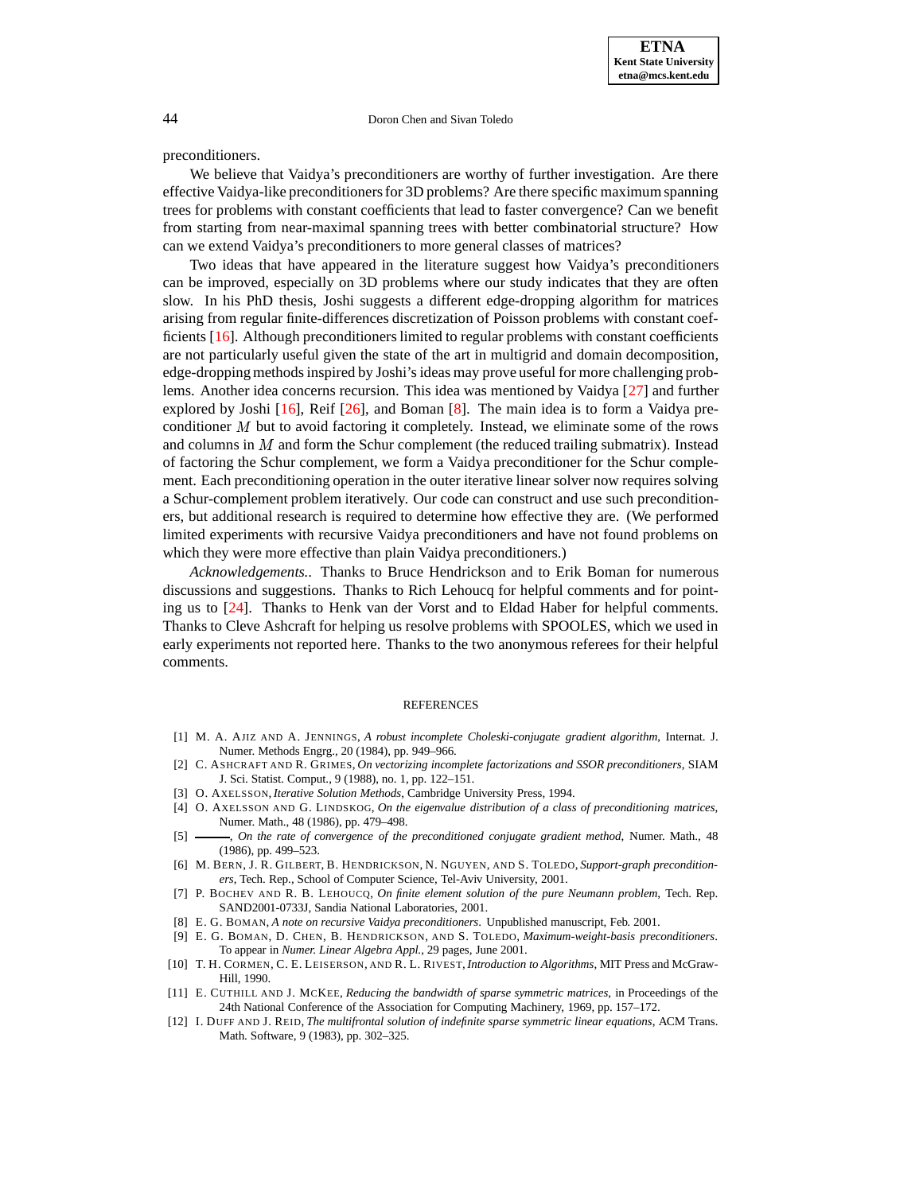preconditioners.

We believe that Vaidya's preconditioners are worthy of further investigation. Are there effective Vaidya-like preconditionersfor 3D problems? Are there specific maximum spanning trees for problems with constant coefficients that lead to faster convergence? Can we benefit from starting from near-maximal spanning trees with better combinatorial structure? How can we extend Vaidya's preconditioners to more general classes of matrices?

Two ideas that have appeared in the literature suggest how Vaidya's preconditioners can be improved, especially on 3D problems where our study indicates that they are often slow. In his PhD thesis, Joshi suggests a different edge-dropping algorithm for matrices arising from regular finite-differences discretization of Poisson problems with constant coefficients [\[16\]](#page-15-1). Although preconditioners limited to regular problems with constant coefficients are not particularly useful given the state of the art in multigrid and domain decomposition, edge-dropping methods inspired by Joshi's ideas may prove useful for more challenging problems. Another idea concerns recursion. This idea was mentioned by Vaidya [\[27\]](#page-15-0) and further explored by Joshi  $[16]$ , Reif  $[26]$ , and Boman  $[8]$ . The main idea is to form a Vaidya preconditioner  $M$  but to avoid factoring it completely. Instead, we eliminate some of the rows and columns in  $M$  and form the Schur complement (the reduced trailing submatrix). Instead of factoring the Schur complement, we form a Vaidya preconditioner for the Schur complement. Each preconditioning operation in the outer iterative linear solver now requires solving a Schur-complement problem iteratively. Our code can construct and use such preconditioners, but additional research is required to determine how effective they are. (We performed limited experiments with recursive Vaidya preconditioners and have not found problems on which they were more effective than plain Vaidya preconditioners.)

*Acknowledgements..* Thanks to Bruce Hendrickson and to Erik Boman for numerous discussions and suggestions. Thanks to Rich Lehoucq for helpful comments and for pointing us to [\[24\]](#page-15-3). Thanks to Henk van der Vorst and to Eldad Haber for helpful comments. Thanks to Cleve Ashcraft for helping us resolve problems with SPOOLES, which we used in early experiments not reported here. Thanks to the two anonymous referees for their helpful comments.

#### REFERENCES

- <span id="page-14-6"></span><span id="page-14-2"></span>[1] M. A. AJIZ AND A. JENNINGS, *A robust incomplete Choleski-conjugate gradient algorithm*, Internat. J. Numer. Methods Engrg., 20 (1984), pp. 949–966.
- [2] C. ASHCRAFT AND R. GRIMES, *On vectorizing incomplete factorizations and SSOR preconditioners*, SIAM J. Sci. Statist. Comput., 9 (1988), no. 1, pp. 122–151.
- <span id="page-14-9"></span>[3] O. AXELSSON, *Iterative Solution Methods*, Cambridge University Press, 1994.
- <span id="page-14-7"></span>[4] O. AXELSSON AND G. LINDSKOG, *On the eigenvalue distribution of a class of preconditioning matrices*, Numer. Math., 48 (1986), pp. 479–498.
- <span id="page-14-8"></span><span id="page-14-1"></span>[5] , *On the rate of convergence of the preconditioned conjugate gradient method*, Numer. Math., 48 (1986), pp. 499–523.
- [6] M. BERN, J. R. GILBERT, B. HENDRICKSON, N. NGUYEN, AND S. TOLEDO, *Support-graph preconditioners*, Tech. Rep., School of Computer Science, Tel-Aviv University, 2001.
- <span id="page-14-10"></span>[7] P. BOCHEV AND R. B. LEHOUCQ, *On finite element solution of the pure Neumann problem*, Tech. Rep. SAND2001-0733J, Sandia National Laboratories, 2001.
- <span id="page-14-11"></span>[8] E. G. BOMAN, *A note on recursive Vaidya preconditioners*. Unpublished manuscript, Feb. 2001.
- <span id="page-14-0"></span>[9] E. G. BOMAN, D. CHEN, B. HENDRICKSON, AND S. TOLEDO, *Maximum-weight-basis preconditioners*. To appear in *Numer. Linear Algebra Appl.*, 29 pages, June 2001.
- <span id="page-14-3"></span>[10] T. H. CORMEN, C. E. LEISERSON, AND R. L. RIVEST, *Introduction to Algorithms*, MIT Press and McGraw-Hill, 1990.
- <span id="page-14-4"></span>[11] E. CUTHILL AND J. MCKEE, *Reducing the bandwidth of sparse symmetric matrices*, in Proceedings of the 24th National Conference of the Association for Computing Machinery, 1969, pp. 157–172.
- <span id="page-14-5"></span>[12] I. DUFF AND J. REID, *The multifrontal solution of indefinite sparse symmetric linear equations*, ACM Trans. Math. Software, 9 (1983), pp. 302–325.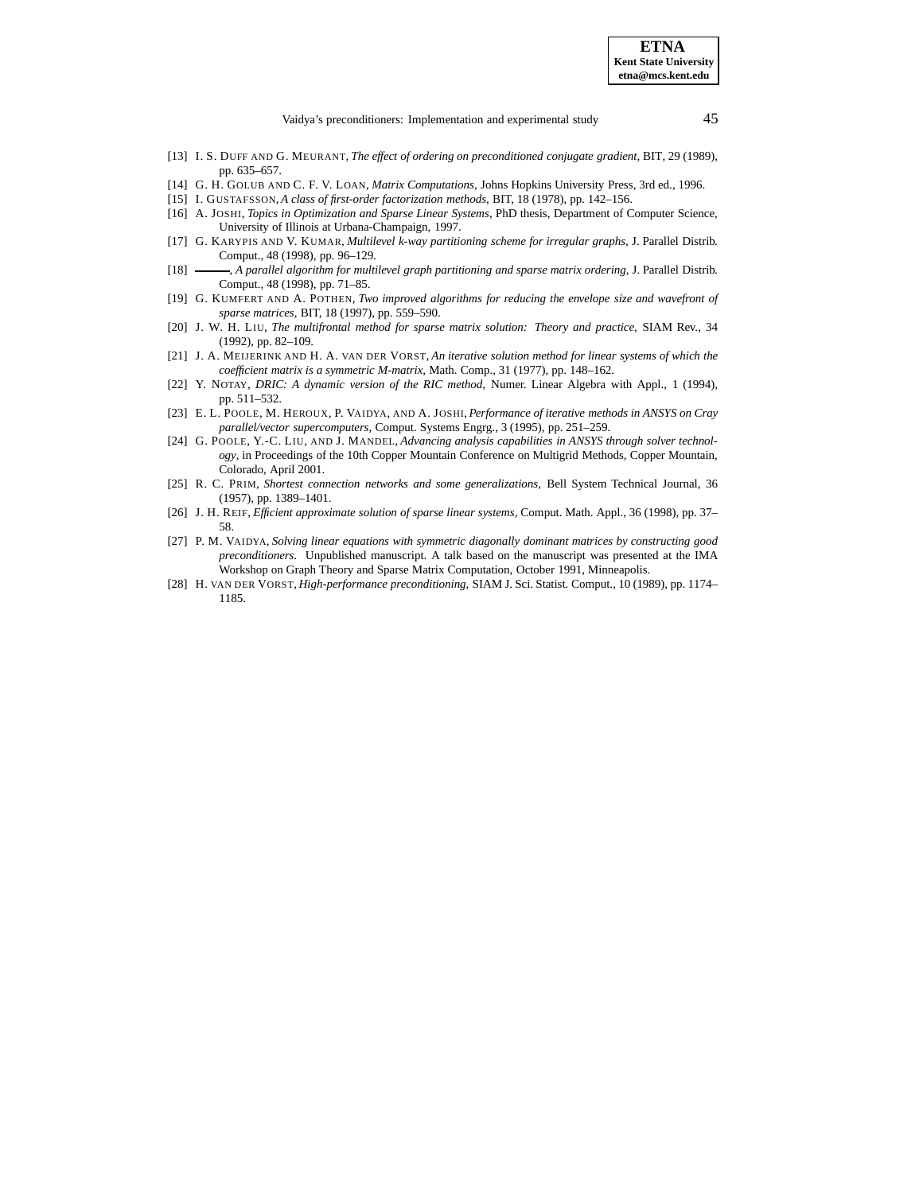Vaidya's preconditioners: Implementation and experimental study 45

- <span id="page-15-9"></span>[13] I. S. DUFF AND G. MEURANT, *The effect of ordering on preconditioned conjugate gradient*, BIT, 29 (1989), pp. 635–657.
- <span id="page-15-14"></span><span id="page-15-12"></span>[14] G. H. GOLUB AND C. F. V. LOAN, *Matrix Computations*, Johns Hopkins University Press, 3rd ed., 1996.
- <span id="page-15-1"></span>[15] I. GUSTAFSSON,*A class of first-order factorization methods*, BIT, 18 (1978), pp. 142–156.
- [16] A. JOSHI, *Topics in Optimization and Sparse Linear Systems*, PhD thesis, Department of Computer Science, University of Illinois at Urbana-Champaign, 1997.
- <span id="page-15-6"></span>[17] G. KARYPIS AND V. KUMAR, *Multilevel k-way partitioning scheme for irregular graphs*, J. Parallel Distrib. Comput., 48 (1998), pp. 96–129.
- <span id="page-15-8"></span><span id="page-15-7"></span>[18] , *A parallel algorithm for multilevel graph partitioning and sparse matrix ordering*, J. Parallel Distrib. Comput., 48 (1998), pp. 71–85.
- [19] G. KUMFERT AND A. POTHEN, *Two improved algorithms for reducing the envelope size and wavefront of sparse matrices*, BIT, 18 (1997), pp. 559–590.
- <span id="page-15-10"></span>[20] J. W. H. LIU, *The multifrontal method for sparse matrix solution: Theory and practice*, SIAM Rev., 34 (1992), pp. 82–109.
- <span id="page-15-11"></span>[21] J. A. MEIJERINK AND H. A. VAN DER VORST, *An iterative solution method for linear systems of which the coefficient matrix is a symmetric M-matrix*, Math. Comp., 31 (1977), pp. 148–162.
- <span id="page-15-4"></span>[22] Y. NOTAY, *DRIC: A dynamic version of the RIC method*, Numer. Linear Algebra with Appl., 1 (1994), pp. 511–532.
- <span id="page-15-2"></span>[23] E. L. POOLE, M. HEROUX, P. VAIDYA, AND A. JOSHI, *Performance of iterative methods in ANSYS on Cray parallel/vector supercomputers*, Comput. Systems Engrg., 3 (1995), pp. 251–259.
- <span id="page-15-3"></span>[24] G. POOLE, Y.-C. LIU, AND J. MANDEL, *Advancing analysis capabilities in ANSYS through solver technology*, in Proceedings of the 10th Copper Mountain Conference on Multigrid Methods, Copper Mountain, Colorado, April 2001.
- <span id="page-15-5"></span>[25] R. C. PRIM, *Shortest connection networks and some generalizations*, Bell System Technical Journal, 36 (1957), pp. 1389–1401.
- <span id="page-15-15"></span>[26] J. H. REIF, *Efficient approximate solution of sparse linear systems*, Comput. Math. Appl., 36 (1998), pp. 37– 58.
- <span id="page-15-0"></span>[27] P. M. VAIDYA, *Solving linear equations with symmetric diagonally dominant matrices by constructing good preconditioners*. Unpublished manuscript. A talk based on the manuscript was presented at the IMA Workshop on Graph Theory and Sparse Matrix Computation, October 1991, Minneapolis.
- <span id="page-15-13"></span>[28] H. VAN DER VORST, *High-performance preconditioning*, SIAM J. Sci. Statist. Comput., 10 (1989), pp. 1174– 1185.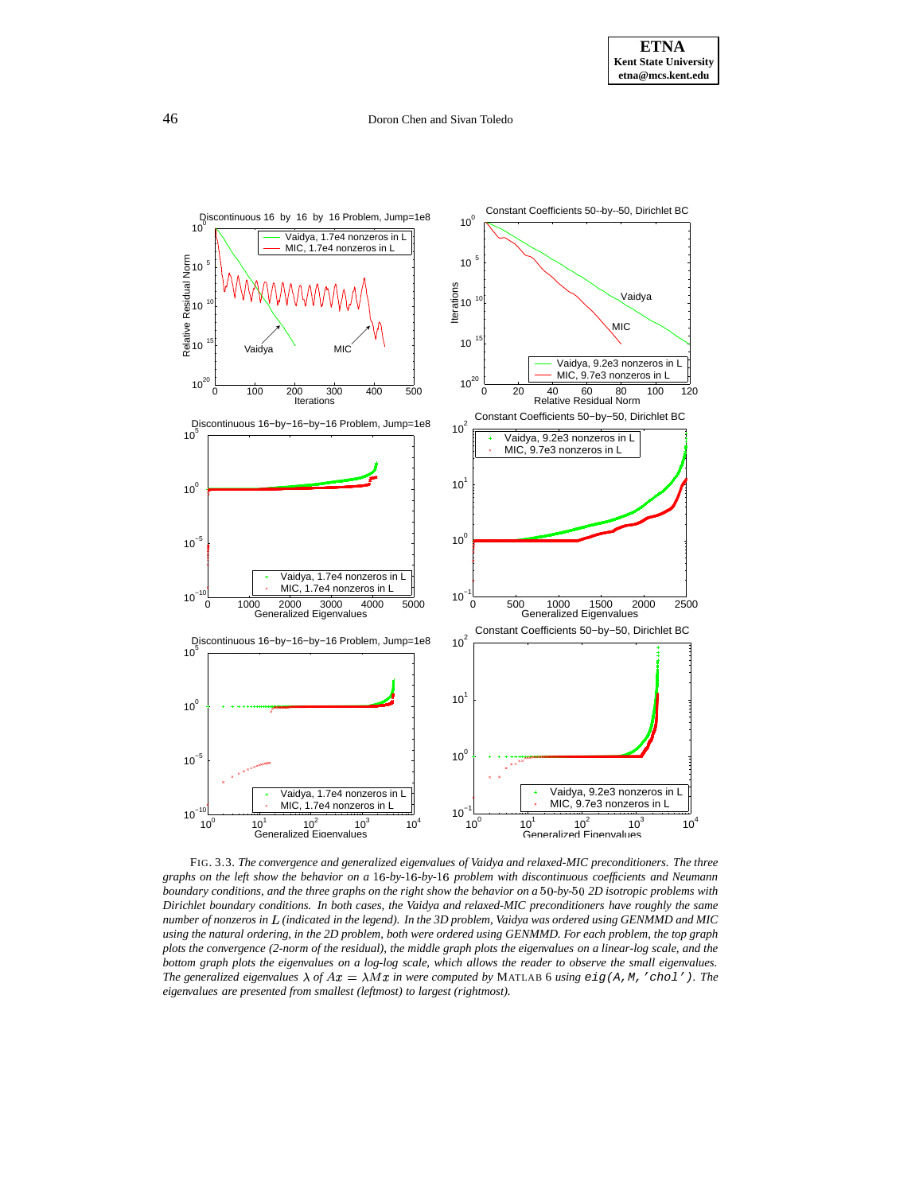

<span id="page-16-0"></span>FIG. 3.3. *The convergence and generalized eigenvalues of Vaidya and relaxed-MIC preconditioners. The three* graphs on the left show the behavior on a 16-by-16-by-16 problem with discontinuous coefficients and Neumann boundary conditions, and the three graphs on the right show the behavior on a 50-by-50 2D isotropic problems with *Dirichlet boundary conditions. In both cases, the Vaidya and relaxed-MIC preconditioners have roughly the same* number of nonzeros in L (indicated in the legend). In the 3D problem, Vaidya was ordered using GENMMD and MIC using the natural ordering, in the 2D problem, both were ordered using GENMMD. For each problem, the top graph plots the convergence (2-norm of the residual), the middle graph plots the eigenvalues on a linear-log scale, and the bottom graph plots the eigenvalues on a log-log scale, which allows the reader to observe the small eigenvalues. *The* generalized eigenvalues  $\lambda$  of  $Ax = \lambda Mx$  in were computed by MATLAB 6 *using*  $eig(A, M, 'chol'')$ *. The eigenvalues are presented from smallest (leftmost) to largest (rightmost).*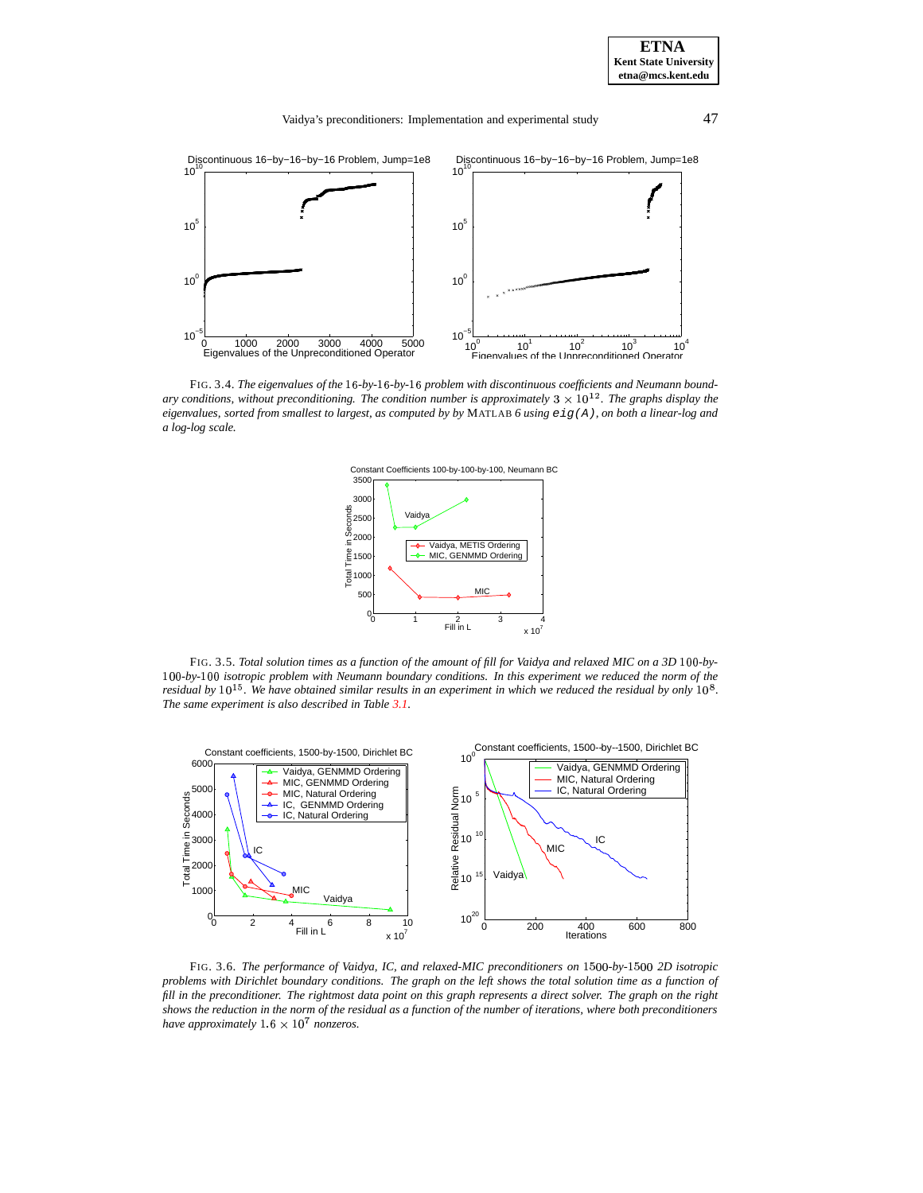![](_page_17_Figure_1.jpeg)

<span id="page-17-0"></span>FIG. 3.4. *The eigenvalues of the -by- -by- problem with discontinuous coefficients and Neumann boundary* conditions, without preconditioning. The condition number is approximately  $3 \times 10^{12}$ . The graphs display the eigenvalues, sorted from smallest to largest, as computed by by MATLAB 6 using  $eig(A)$ , on both a linear-log and *a log-log scale.*

![](_page_17_Figure_3.jpeg)

<span id="page-17-2"></span>FIG. 3.5. Total solution times as a function of the amount of fill for Vaidya and relaxed MIC on a 3D 100-by- --*-by-* -- *isotropic problem with Neumann boundary conditions. In this experiment we reduced the norm of the* residual by  $10^{15}$ . We have obtained similar results in an experiment in which we reduced the residual by only  $10^8$ . *The same experiment is also described in Table [3.1.](#page-11-0)*

![](_page_17_Figure_5.jpeg)

<span id="page-17-1"></span>FIG. 3.6. *The performance of Vaidya, IC, and relaxed-MIC preconditioners on* --*-by-* -- *2D isotropic* problems with Dirichlet boundary conditions. The graph on the left shows the total solution time as a function of fill in the preconditioner. The rightmost data point on this graph represents a direct solver. The graph on the right shows the reduction in the norm of the residual as a function of the number of iterations, where both preconditioners *have approximately*  $1.6 \times 10^7$  *nonzeros.*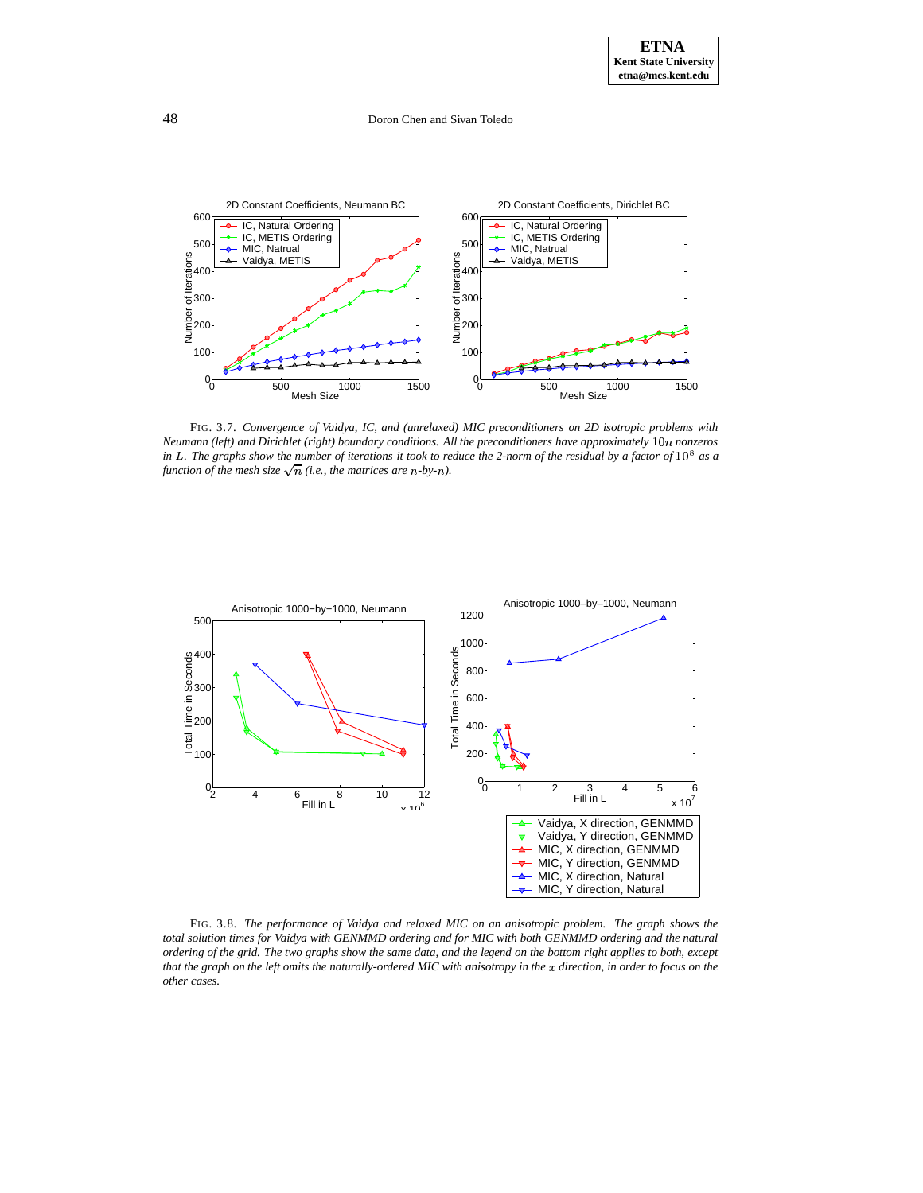![](_page_18_Figure_2.jpeg)

<span id="page-18-0"></span>FIG. 3.7. *Convergence of Vaidya, IC, and (unrelaxed) MIC preconditioners on 2D isotropic problems with Neumann (left) and Dirichlet (right) boundary conditions. All the preconditioners have approximately* - *nonzeros* in L. The graphs show the number of iterations it took to reduce the 2-norm of the residual by a factor of  $10^8$  as a *function of the mesh size*  $\sqrt{n}$  (*i.e., the matrices are n-by-n*).

![](_page_18_Figure_4.jpeg)

<span id="page-18-1"></span>FIG. 3.8. *The performance of Vaidya and relaxed MIC on an anisotropic problem. The graph shows the* total solution times for Vaidya with GENMMD ordering and for MIC with both GENMMD ordering and the natural ordering of the grid. The two graphs show the same data, and the legend on the bottom right applies to both, except that the graph on the left omits the naturally-ordered MIC with anisotropy in the  $x$  direction, in order to focus on the *other cases.*